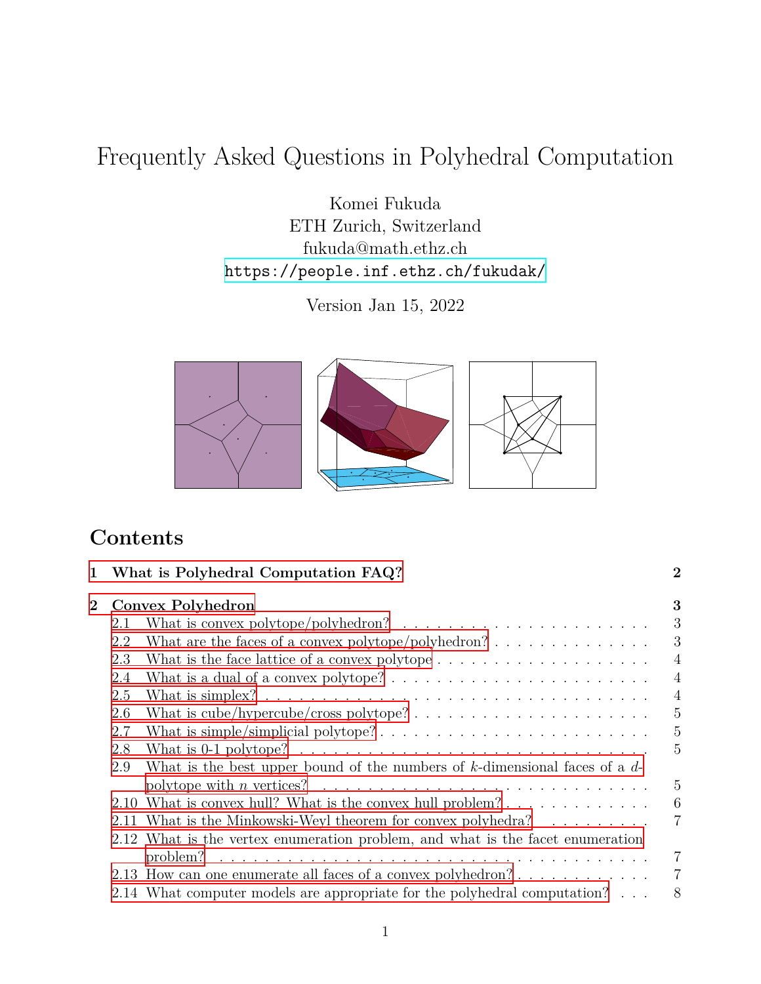# Frequently Asked Questions in Polyhedral Computation

Komei Fukuda ETH Zurich, Switzerland fukuda@math.ethz.ch <https://people.inf.ethz.ch/fukudak/>

Version Jan 15, 2022



# **Contents**

| 1 What is Polyhedral Computation FAQ? |                                                                                |                                                                                               | $\overline{2}$ |  |
|---------------------------------------|--------------------------------------------------------------------------------|-----------------------------------------------------------------------------------------------|----------------|--|
| $\bf{2}$                              |                                                                                | Convex Polyhedron                                                                             |                |  |
|                                       | 2.1                                                                            | What is convex polytope/polyhedron? $\ldots \ldots \ldots \ldots \ldots \ldots \ldots \ldots$ | 3              |  |
|                                       | 2.2                                                                            |                                                                                               | 3              |  |
|                                       | 2.3                                                                            |                                                                                               | $\overline{4}$ |  |
|                                       | 2.4                                                                            |                                                                                               | $\overline{4}$ |  |
|                                       | 2.5                                                                            |                                                                                               | $\overline{4}$ |  |
|                                       | 2.6                                                                            | What is $cube/hypercube/cross polytope?        $                                              | $\overline{5}$ |  |
|                                       | 2.7                                                                            |                                                                                               | $\overline{5}$ |  |
|                                       | 2.8                                                                            |                                                                                               | 5              |  |
| 2.9                                   |                                                                                | What is the best upper bound of the numbers of $k$ -dimensional faces of a $d$ -              |                |  |
|                                       |                                                                                |                                                                                               | 5              |  |
|                                       |                                                                                | 2.10 What is convex hull? What is the convex hull problem?                                    | 6              |  |
|                                       |                                                                                | 2.11 What is the Minkowski-Weyl theorem for convex polyhedra?                                 | $\overline{7}$ |  |
|                                       | 2.12 What is the vertex enumeration problem, and what is the facet enumeration |                                                                                               |                |  |
|                                       |                                                                                |                                                                                               | $\overline{7}$ |  |
|                                       |                                                                                | 2.13 How can one enumerate all faces of a convex polyhedron?                                  | $\overline{7}$ |  |
|                                       |                                                                                | 2.14 What computer models are appropriate for the polyhedral computation?                     | 8              |  |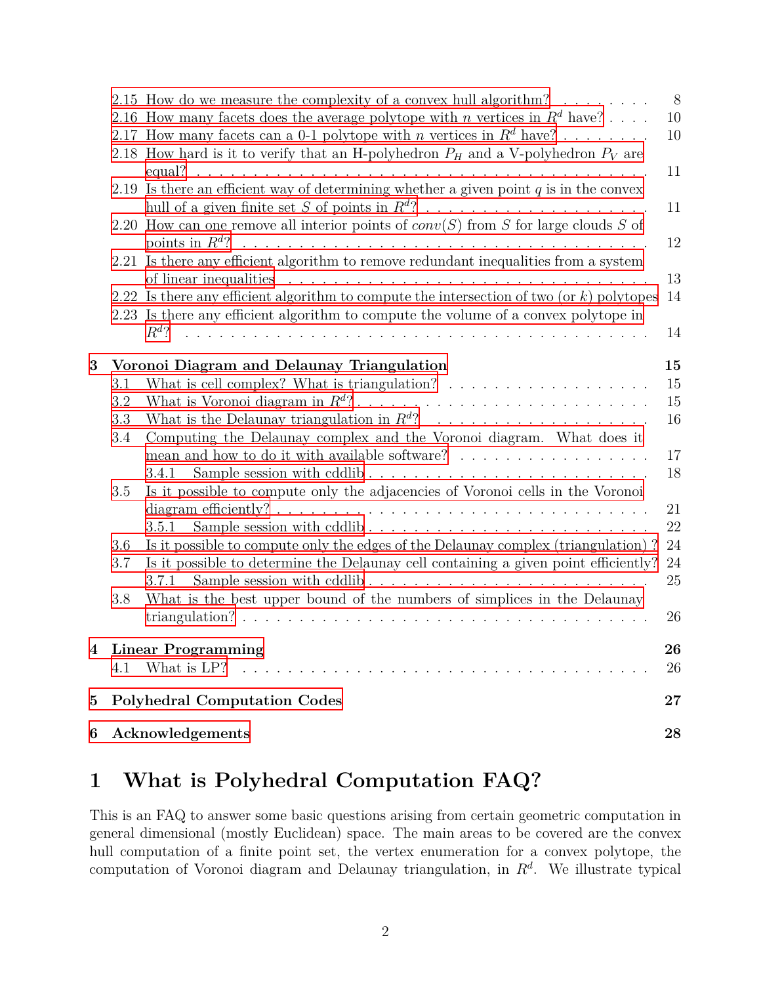|   |                                               | 2.15 How do we measure the complexity of a convex hull algorithm? $\ldots \ldots$                                                                                      | 8  |  |
|---|-----------------------------------------------|------------------------------------------------------------------------------------------------------------------------------------------------------------------------|----|--|
|   |                                               | 2.16 How many facets does the average polytope with <i>n</i> vertices in $R^d$ have?                                                                                   | 10 |  |
|   |                                               | 2.17 How many facets can a 0-1 polytope with <i>n</i> vertices in $R^d$ have?<br>2.18 How hard is it to verify that an H-polyhedron $P_H$ and a V-polyhedron $P_V$ are | 10 |  |
|   |                                               |                                                                                                                                                                        | 11 |  |
|   |                                               | 2.19 Is there an efficient way of determining whether a given point $q$ is in the convex                                                                               |    |  |
|   |                                               |                                                                                                                                                                        | 11 |  |
|   |                                               | 2.20 How can one remove all interior points of $conv(S)$ from S for large clouds S of                                                                                  |    |  |
|   |                                               |                                                                                                                                                                        | 12 |  |
|   |                                               | 2.21 Is there any efficient algorithm to remove redundant inequalities from a system                                                                                   |    |  |
|   |                                               |                                                                                                                                                                        | 13 |  |
|   |                                               | 2.22 Is there any efficient algorithm to compute the intersection of two (or $k$ ) polytopes                                                                           | 14 |  |
|   |                                               | 2.23 Is there any efficient algorithm to compute the volume of a convex polytope in                                                                                    |    |  |
|   |                                               |                                                                                                                                                                        | 14 |  |
| 3 |                                               | Voronoi Diagram and Delaunay Triangulation                                                                                                                             | 15 |  |
|   | 3.1                                           | What is cell complex? What is triangulation? $\ldots \ldots \ldots \ldots \ldots \ldots$                                                                               | 15 |  |
|   | $3.2\,$                                       |                                                                                                                                                                        | 15 |  |
|   | 3.3                                           |                                                                                                                                                                        | 16 |  |
|   | 3.4                                           | Computing the Delaunay complex and the Voronoi diagram. What does it                                                                                                   |    |  |
|   |                                               | mean and how to do it with available software? $\ldots \ldots \ldots \ldots \ldots$                                                                                    | 17 |  |
|   |                                               | Sample session with cddlib<br>3.4.1                                                                                                                                    | 18 |  |
|   | 3.5                                           | Is it possible to compute only the adjacencies of Voronoi cells in the Voronoi                                                                                         | 21 |  |
|   |                                               | Sample session with cddlib<br>3.5.1                                                                                                                                    | 22 |  |
|   | 3.6                                           | Is it possible to compute only the edges of the Delaunay complex (triangulation)?                                                                                      | 24 |  |
|   | 3.7                                           | Is it possible to determine the Delaunay cell containing a given point efficiently?                                                                                    | 24 |  |
|   |                                               | Sample session with cddlib<br>3.7.1                                                                                                                                    | 25 |  |
|   | 3.8                                           | What is the best upper bound of the numbers of simplices in the Delaunay                                                                                               |    |  |
|   |                                               |                                                                                                                                                                        | 26 |  |
| 4 |                                               | <b>Linear Programming</b>                                                                                                                                              | 26 |  |
|   | 4.1                                           | What is LP?                                                                                                                                                            | 26 |  |
|   |                                               |                                                                                                                                                                        |    |  |
| 5 | <b>Polyhedral Computation Codes</b><br>$27\,$ |                                                                                                                                                                        |    |  |
| 6 |                                               | Acknowledgements                                                                                                                                                       | 28 |  |
|   |                                               |                                                                                                                                                                        |    |  |

# <span id="page-1-0"></span>**1 What is Polyhedral Computation FAQ?**

This is an FAQ to answer some basic questions arising from certain geometric computation in general dimensional (mostly Euclidean) space. The main areas to be covered are the convex hull computation of a finite point set, the vertex enumeration for a convex polytope, the computation of Voronoi diagram and Delaunay triangulation, in *R<sup>d</sup>* . We illustrate typical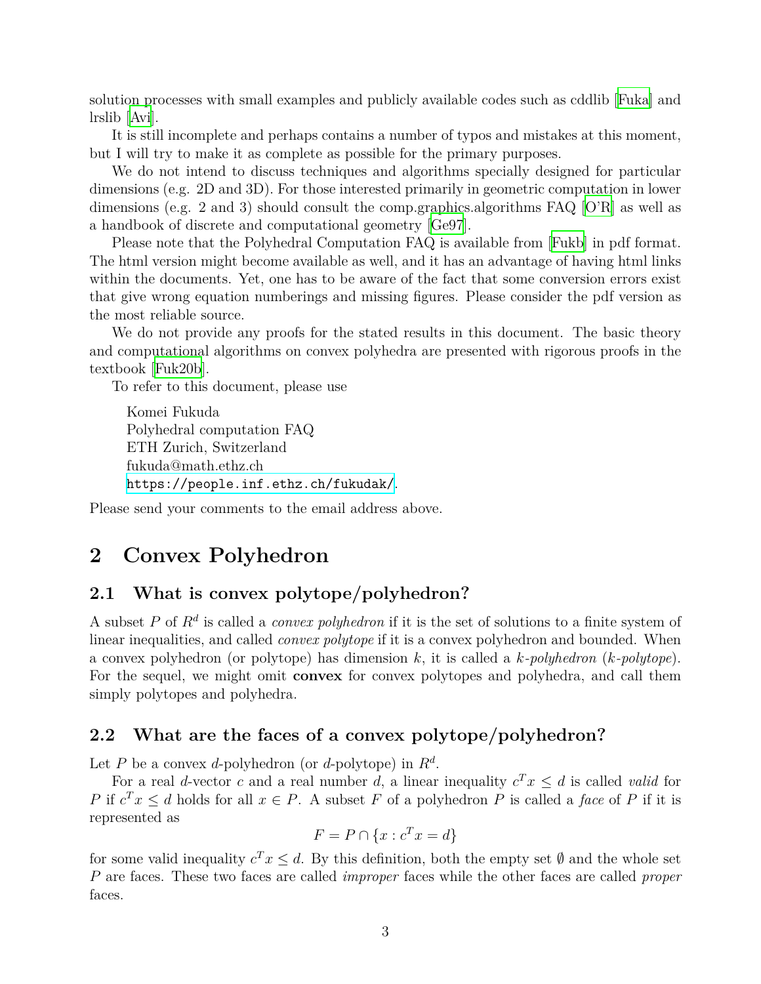solution processes with small examples and publicly available codes such as cddlib [\[Fuka](#page-29-0)] and lrslib [[Avi](#page-28-0)].

It is still incomplete and perhaps contains a number of typos and mistakes at this moment, but I will try to make it as complete as possible for the primary purposes.

We do not intend to discuss techniques and algorithms specially designed for particular dimensions (e.g. 2D and 3D). For those interested primarily in geometric computation in lower dimensions (e.g. 2 and 3) should consult the comp.graphics.algorithms FAQ[[O'R\]](#page-30-0) as well as a handbook of discrete and computational geometry [[Ge97\]](#page-29-1).

Please note that the Polyhedral Computation FAQ is available from [\[Fukb\]](#page-29-2) in pdf format. The html version might become available as well, and it has an advantage of having html links within the documents. Yet, one has to be aware of the fact that some conversion errors exist that give wrong equation numberings and missing figures. Please consider the pdf version as the most reliable source.

We do not provide any proofs for the stated results in this document. The basic theory and computational algorithms on convex polyhedra are presented with rigorous proofs in the textbook [[Fuk20b](#page-29-3)].

To refer to this document, please use

```
Komei Fukuda
Polyhedral computation FAQ
ETH Zurich, Switzerland
fukuda@math.ethz.ch
https://people.inf.ethz.ch/fukudak/.
```
Please send your comments to the email address above.

# <span id="page-2-0"></span>**2 Convex Polyhedron**

### <span id="page-2-1"></span>**2.1 What is convex polytope/polyhedron?**

A subset *P* of *R<sup>d</sup>* is called a *convex polyhedron* if it is the set of solutions to a finite system of linear inequalities, and called *convex polytope* if it is a convex polyhedron and bounded. When a convex polyhedron (or polytope) has dimension *k*, it is called a *k-polyhedron* (*k-polytope*). For the sequel, we might omit **convex** for convex polytopes and polyhedra, and call them simply polytopes and polyhedra.

#### <span id="page-2-2"></span>**2.2 What are the faces of a convex polytope/polyhedron?**

Let *P* be a convex *d*-polyhedron (or *d*-polytope) in  $R^d$ .

For a real *d*-vector *c* and a real number *d*, a linear inequality  $c^T x \leq d$  is called *valid* for *P* if  $c^T x \leq d$  holds for all  $x \in P$ . A subset *F* of a polyhedron *P* is called a *face* of *P* if it is represented as

$$
F = P \cap \{x : c^T x = d\}
$$

for some valid inequality  $c^T x \leq d$ . By this definition, both the empty set  $\emptyset$  and the whole set *P* are faces. These two faces are called *improper* faces while the other faces are called *proper* faces.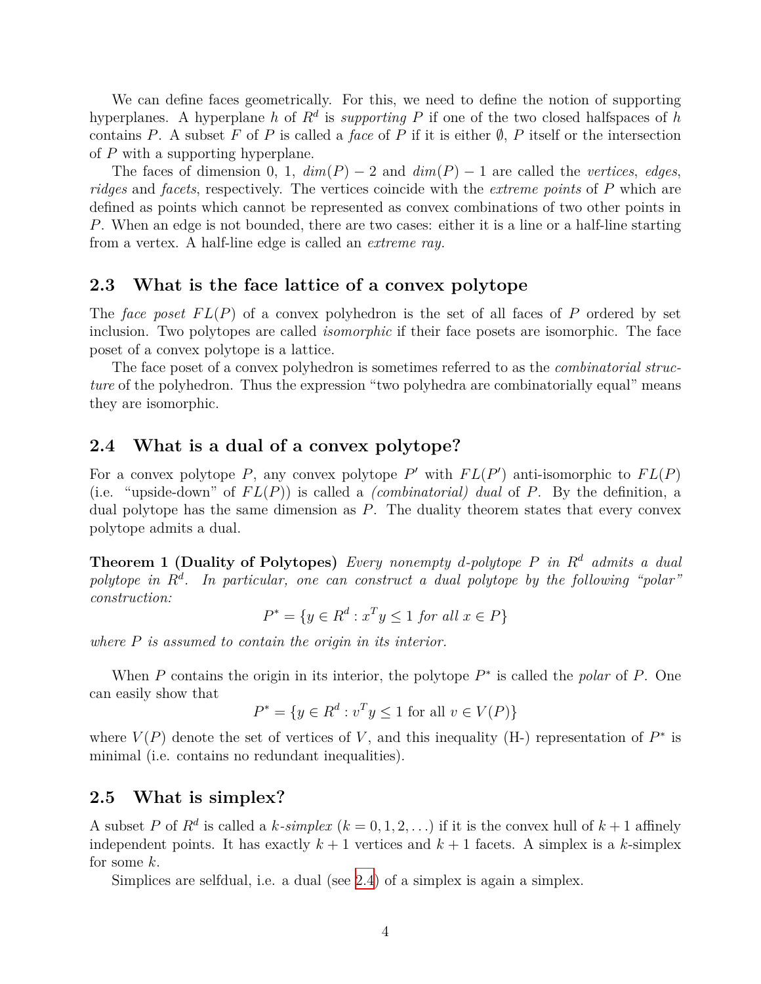We can define faces geometrically. For this, we need to define the notion of supporting hyperplanes. A hyperplane *h* of *R<sup>d</sup>* is *supporting P* if one of the two closed halfspaces of *h* contains *P*. A subset *F* of *P* is called a *face* of *P* if it is either  $\emptyset$ , *P* itself or the intersection of *P* with a supporting hyperplane.

The faces of dimension 0, 1,  $dim(P) - 2$  and  $dim(P) - 1$  are called the *vertices*, *edges*, *ridges* and *facets*, respectively. The vertices coincide with the *extreme points* of *P* which are defined as points which cannot be represented as convex combinations of two other points in *P*. When an edge is not bounded, there are two cases: either it is a line or a half-line starting from a vertex. A half-line edge is called an *extreme ray*.

#### <span id="page-3-0"></span>**2.3 What is the face lattice of a convex polytope**

The *face poset*  $FL(P)$  of a convex polyhedron is the set of all faces of P ordered by set inclusion. Two polytopes are called *isomorphic* if their face posets are isomorphic. The face poset of a convex polytope is a lattice.

The face poset of a convex polyhedron is sometimes referred to as the *combinatorial structure* of the polyhedron. Thus the expression "two polyhedra are combinatorially equal" means they are isomorphic.

#### <span id="page-3-1"></span>**2.4 What is a dual of a convex polytope?**

For a convex polytope P, any convex polytope P' with  $FL(P')$  anti-isomorphic to  $FL(P)$ (i.e. "upside-down" of *F L*(*P*)) is called a *(combinatorial) dual* of *P*. By the definition, a dual polytope has the same dimension as *P*. The duality theorem states that every convex polytope admits a dual.

**Theorem 1 (Duality of Polytopes)** *Every nonempty d-polytope P in R<sup>d</sup> admits a dual polytope in R<sup>d</sup> . In particular, one can construct a dual polytope by the following "polar" construction:*

$$
P^* = \{ y \in R^d : x^T y \le 1 \text{ for all } x \in P \}
$$

*where P is assumed to contain the origin in its interior.*

When *P* contains the origin in its interior, the polytope  $P^*$  is called the *polar* of *P*. One can easily show that

$$
P^* = \{ y \in R^d : v^T y \le 1 \text{ for all } v \in V(P) \}
$$

where  $V(P)$  denote the set of vertices of V, and this inequality (H-) representation of  $P^*$  is minimal (i.e. contains no redundant inequalities).

#### <span id="page-3-2"></span>**2.5 What is simplex?**

A subset *P* of  $R^d$  is called a *k*-simplex  $(k = 0, 1, 2, ...)$  if it is the convex hull of  $k + 1$  affinely independent points. It has exactly  $k + 1$  vertices and  $k + 1$  facets. A simplex is a *k*-simplex for some *k*.

Simplices are selfdual, i.e. a dual (see [2.4](#page-3-1)) of a simplex is again a simplex.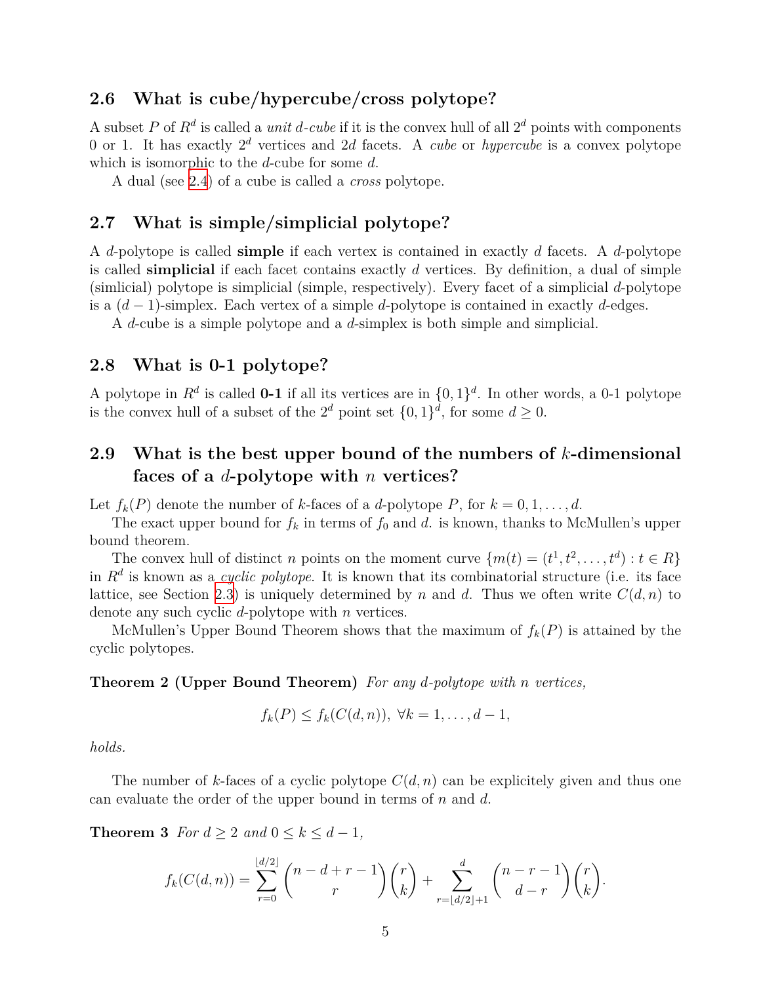### <span id="page-4-0"></span>**2.6 What is cube/hypercube/cross polytope?**

A subset P of  $R^d$  is called a *unit d*-cube if it is the convex hull of all  $2^d$  points with components 0 or 1. It has exactly 2 *<sup>d</sup>* vertices and 2*d* facets. A *cube* or *hypercube* is a convex polytope which is isomorphic to the *d*-cube for some *d*.

A dual (see [2.4](#page-3-1)) of a cube is called a *cross* polytope.

#### <span id="page-4-1"></span>**2.7 What is simple/simplicial polytope?**

A *d*-polytope is called **simple** if each vertex is contained in exactly *d* facets. A *d*-polytope is called **simplicial** if each facet contains exactly *d* vertices. By definition, a dual of simple (simlicial) polytope is simplicial (simple, respectively). Every facet of a simplicial *d*-polytope is a (*d −* 1)-simplex. Each vertex of a simple *d*-polytope is contained in exactly *d*-edges.

A *d*-cube is a simple polytope and a *d*-simplex is both simple and simplicial.

#### <span id="page-4-2"></span>**2.8 What is 0-1 polytope?**

A polytope in  $R^d$  is called **0-1** if all its vertices are in  $\{0,1\}^d$ . In other words, a 0-1 polytope is the convex hull of a subset of the  $2^d$  point set  $\{0,1\}^d$ , for some  $d \geq 0$ .

### <span id="page-4-3"></span>**2.9 What is the best upper bound of the numbers of** *k***-dimensional faces of a** *d***-polytope with** *n* **vertices?**

Let  $f_k(P)$  denote the number of *k*-faces of a *d*-polytope *P*, for  $k = 0, 1, \ldots, d$ .

The exact upper bound for  $f_k$  in terms of  $f_0$  and  $d$ . is known, thanks to McMullen's upper bound theorem.

The convex hull of distinct *n* points on the moment curve  $\{m(t) = (t^1, t^2, \ldots, t^d) : t \in R\}$ in *R<sup>d</sup>* is known as a *cyclic polytope*. It is known that its combinatorial structure (i.e. its face lattice, see Section [2.3\)](#page-3-0) is uniquely determined by *n* and *d*. Thus we often write  $C(d, n)$  to denote any such cyclic *d*-polytope with *n* vertices.

McMullen's Upper Bound Theorem shows that the maximum of  $f_k(P)$  is attained by the cyclic polytopes.

<span id="page-4-4"></span>**Theorem 2 (Upper Bound Theorem)** *For any d-polytope with n vertices,*

$$
f_k(P) \le f_k(C(d,n)), \ \forall k = 1, \ldots, d-1,
$$

*holds.*

The number of *k*-faces of a cyclic polytope  $C(d, n)$  can be explicitely given and thus one can evaluate the order of the upper bound in terms of *n* and *d*.

**Theorem 3** *For*  $d \geq 2$  *and*  $0 \leq k \leq d-1$ *,* 

$$
f_k(C(d,n)) = \sum_{r=0}^{\lfloor d/2 \rfloor} \binom{n-d+r-1}{r} \binom{r}{k} + \sum_{r=\lfloor d/2 \rfloor + 1}^{d} \binom{n-r-1}{d-r} \binom{r}{k}.
$$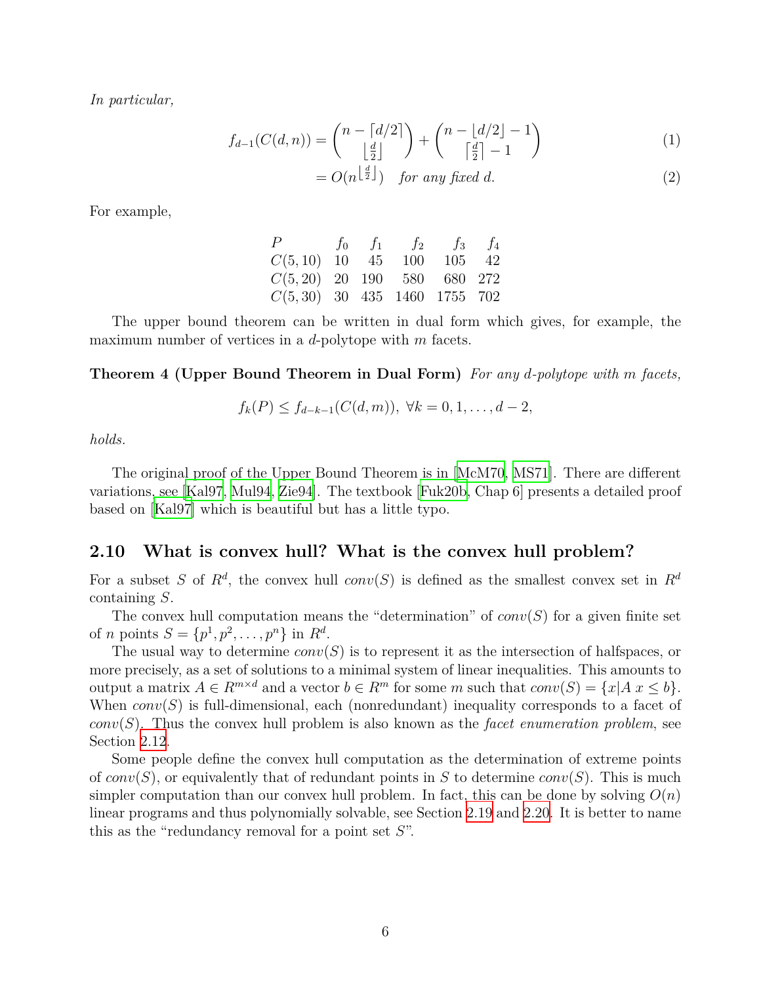*In particular,*

$$
f_{d-1}(C(d,n)) = {n - \lfloor d/2 \rfloor \choose \lfloor \frac{d}{2} \rfloor} + {n - \lfloor d/2 \rfloor - 1 \choose \lceil \frac{d}{2} \rceil - 1}
$$
(1)  
=  $O(n^{\lfloor \frac{d}{2} \rfloor})$  for any fixed d. (2)

For example,

<span id="page-5-1"></span>

| P                              |  | $f_0$ $f_1$ $f_2$ $f_3$ $f_4$ |        |  |
|--------------------------------|--|-------------------------------|--------|--|
| $C(5, 10)$ 10 45               |  | 100                           | 105 42 |  |
| $C(5, 20)$ 20 190 580 680 272  |  |                               |        |  |
| $C(5,30)$ 30 435 1460 1755 702 |  |                               |        |  |

The upper bound theorem can be written in dual form which gives, for example, the maximum number of vertices in a *d*-polytope with *m* facets.

**Theorem 4 (Upper Bound Theorem in Dual Form)** *For any d-polytope with m facets,*

$$
f_k(P) \le f_{d-k-1}(C(d,m)), \ \forall k = 0, 1, \ldots, d-2,
$$

*holds.*

The original proof of the Upper Bound Theorem is in [[McM70](#page-30-1), [MS71\]](#page-30-2). There are different variations, see [[Kal97,](#page-30-3) [Mul94](#page-30-4), [Zie94\]](#page-31-0). The textbook [\[Fuk20b,](#page-29-3) Chap 6] presents a detailed proof based on [\[Kal97](#page-30-3)] which is beautiful but has a little typo.

#### <span id="page-5-0"></span>**2.10 What is convex hull? What is the convex hull problem?**

For a subset *S* of  $R^d$ , the convex hull *conv*(*S*) is defined as the smallest convex set in  $R^d$ containing *S*.

The convex hull computation means the "determination" of  $conv(S)$  for a given finite set of *n* points  $S = \{p^1, p^2, \dots, p^n\}$  in  $R^d$ .

The usual way to determine *conv*(*S*) is to represent it as the intersection of halfspaces, or more precisely, as a set of solutions to a minimal system of linear inequalities. This amounts to output a matrix  $A \in R^{m \times d}$  and a vector  $b \in R^m$  for some m such that  $conv(S) = \{x | A \mid x \leq b\}$ . When *conv*(*S*) is full-dimensional, each (nonredundant) inequality corresponds to a facet of *conv*(*S*). Thus the convex hull problem is also known as the *facet enumeration problem*, see Section [2.12.](#page-6-1)

Some people define the convex hull computation as the determination of extreme points of  $conv(S)$ , or equivalently that of redundant points in *S* to determine  $conv(S)$ . This is much simpler computation than our convex hull problem. In fact, this can be done by solving  $O(n)$ linear programs and thus polynomially solvable, see Section [2.19](#page-10-1) and [2.20](#page-11-0). It is better to name this as the "redundancy removal for a point set *S*".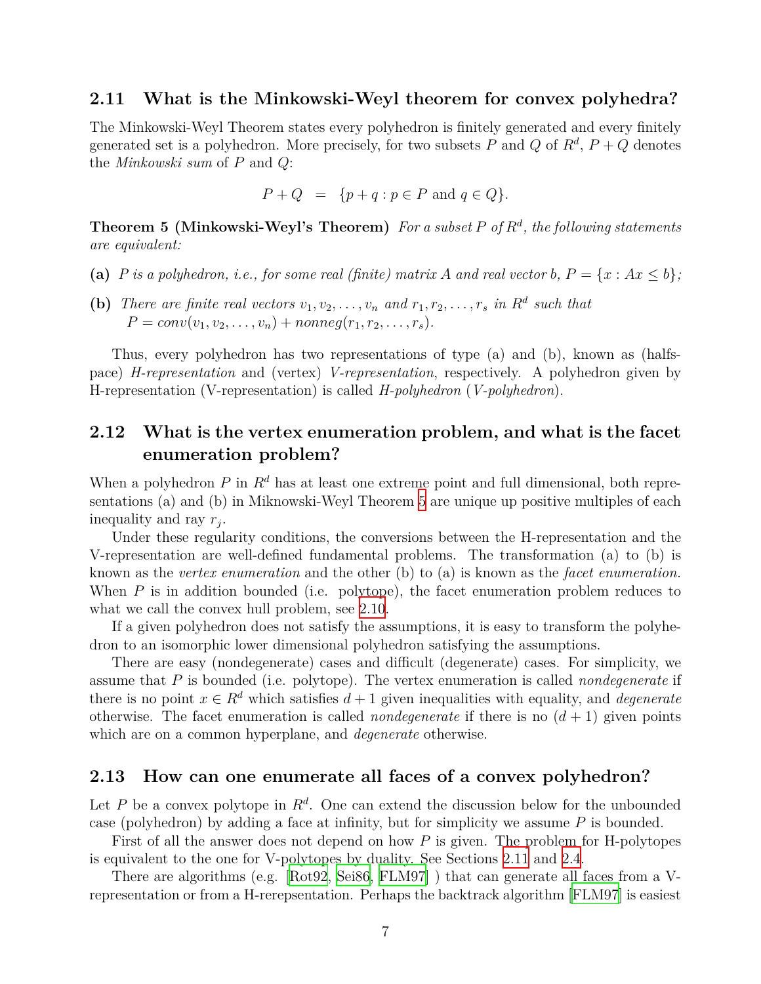#### <span id="page-6-0"></span>**2.11 What is the Minkowski-Weyl theorem for convex polyhedra?**

The Minkowski-Weyl Theorem states every polyhedron is finitely generated and every finitely generated set is a polyhedron. More precisely, for two subsets  $P$  and  $Q$  of  $R^d$ ,  $P + Q$  denotes the *Minkowski sum* of *P* and *Q*:

$$
P + Q = \{ p + q : p \in P \text{ and } q \in Q \}.
$$

<span id="page-6-3"></span>**Theorem 5 (Minkowski-Weyl's Theorem)** *For a subset P of R<sup>d</sup> , the following statements are equivalent:*

- (a) *P* is a polyhedron, i.e., for some real (finite) matrix A and real vector b,  $P = \{x : Ax \leq b\}$ ;
- **(b)** *There are finite real vectors*  $v_1, v_2, \ldots, v_n$  *and*  $r_1, r_2, \ldots, r_s$  *in*  $R^d$  *such that*  $P = conv(v_1, v_2, \ldots, v_n) + nonneg(r_1, r_2, \ldots, r_s).$

Thus, every polyhedron has two representations of type (a) and (b), known as (halfspace) *H-representation* and (vertex) *V-representation*, respectively. A polyhedron given by H-representation (V-representation) is called *H-polyhedron* (*V-polyhedron*).

### <span id="page-6-1"></span>**2.12 What is the vertex enumeration problem, and what is the facet enumeration problem?**

When a polyhedron *P* in  $R^d$  has at least one extreme point and full dimensional, both representations (a) and (b) in Miknowski-Weyl Theorem [5](#page-6-3) are unique up positive multiples of each inequality and ray *r<sup>j</sup>* .

Under these regularity conditions, the conversions between the H-representation and the V-representation are well-defined fundamental problems. The transformation (a) to (b) is known as the *vertex enumeration* and the other (b) to (a) is known as the *facet enumeration*. When *P* is in addition bounded (i.e. polytope), the facet enumeration problem reduces to what we call the convex hull problem, see [2.10](#page-5-0).

If a given polyhedron does not satisfy the assumptions, it is easy to transform the polyhedron to an isomorphic lower dimensional polyhedron satisfying the assumptions.

There are easy (nondegenerate) cases and difficult (degenerate) cases. For simplicity, we assume that *P* is bounded (i.e. polytope). The vertex enumeration is called *nondegenerate* if there is no point  $x \in R^d$  which satisfies  $d+1$  given inequalities with equality, and *degenerate* otherwise. The facet enumeration is called *nondegenerate* if there is no  $(d + 1)$  given points which are on a common hyperplane, and *degenerate* otherwise.

#### <span id="page-6-2"></span>**2.13 How can one enumerate all faces of a convex polyhedron?**

Let *P* be a convex polytope in  $R^d$ . One can extend the discussion below for the unbounded case (polyhedron) by adding a face at infinity, but for simplicity we assume *P* is bounded.

First of all the answer does not depend on how *P* is given. The problem for H-polytopes is equivalent to the one for V-polytopes by duality. See Sections [2.11](#page-6-0) and [2.4](#page-3-1).

There are algorithms (e.g.[[Rot92,](#page-30-5) [Sei86,](#page-31-1) [FLM97](#page-29-4)] ) that can generate all faces from a Vrepresentation or from a H-rerepsentation. Perhaps the backtrack algorithm [[FLM97\]](#page-29-4) is easiest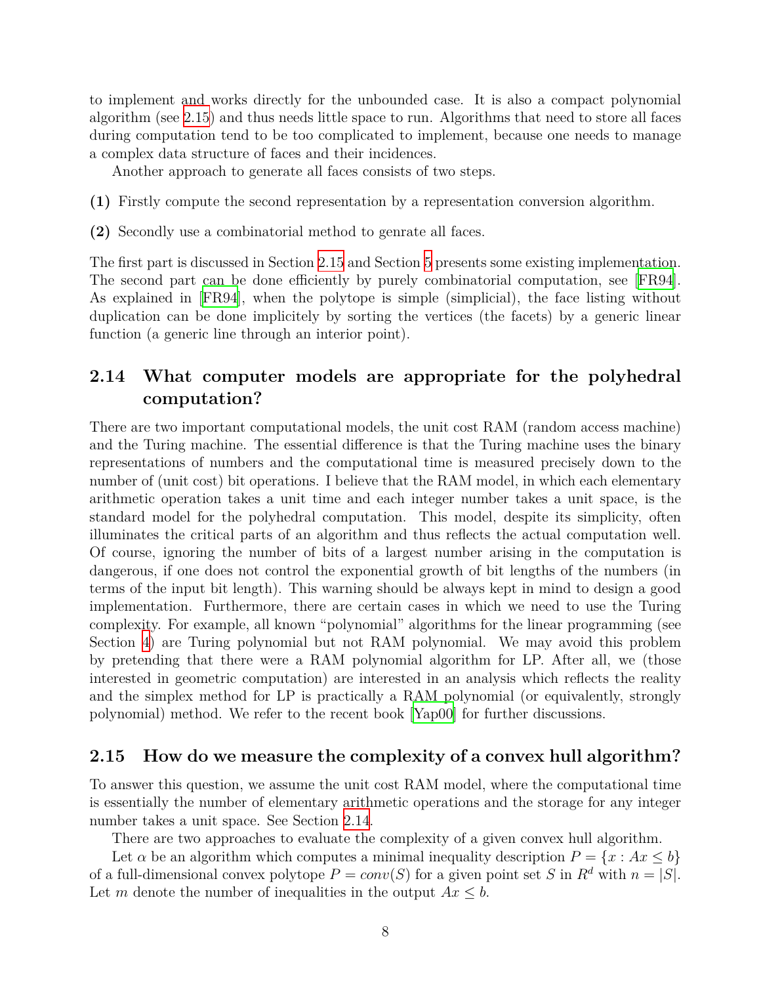to implement and works directly for the unbounded case. It is also a compact polynomial algorithm (see [2.15\)](#page-7-1) and thus needs little space to run. Algorithms that need to store all faces during computation tend to be too complicated to implement, because one needs to manage a complex data structure of faces and their incidences.

Another approach to generate all faces consists of two steps.

- **(1)** Firstly compute the second representation by a representation conversion algorithm.
- **(2)** Secondly use a combinatorial method to genrate all faces.

The first part is discussed in Section [2.15](#page-7-1) and Section [5](#page-26-0) presents some existing implementation. The second part can be done efficiently by purely combinatorial computation, see [[FR94\]](#page-29-5). As explained in [\[FR94](#page-29-5)], when the polytope is simple (simplicial), the face listing without duplication can be done implicitely by sorting the vertices (the facets) by a generic linear function (a generic line through an interior point).

### <span id="page-7-0"></span>**2.14 What computer models are appropriate for the polyhedral computation?**

There are two important computational models, the unit cost RAM (random access machine) and the Turing machine. The essential difference is that the Turing machine uses the binary representations of numbers and the computational time is measured precisely down to the number of (unit cost) bit operations. I believe that the RAM model, in which each elementary arithmetic operation takes a unit time and each integer number takes a unit space, is the standard model for the polyhedral computation. This model, despite its simplicity, often illuminates the critical parts of an algorithm and thus reflects the actual computation well. Of course, ignoring the number of bits of a largest number arising in the computation is dangerous, if one does not control the exponential growth of bit lengths of the numbers (in terms of the input bit length). This warning should be always kept in mind to design a good implementation. Furthermore, there are certain cases in which we need to use the Turing complexity. For example, all known "polynomial" algorithms for the linear programming (see Section [4](#page-25-1)) are Turing polynomial but not RAM polynomial. We may avoid this problem by pretending that there were a RAM polynomial algorithm for LP. After all, we (those interested in geometric computation) are interested in an analysis which reflects the reality and the simplex method for LP is practically a RAM polynomial (or equivalently, strongly polynomial) method. We refer to the recent book [[Yap00\]](#page-31-2) for further discussions.

#### <span id="page-7-1"></span>**2.15 How do we measure the complexity of a convex hull algorithm?**

To answer this question, we assume the unit cost RAM model, where the computational time is essentially the number of elementary arithmetic operations and the storage for any integer number takes a unit space. See Section [2.14](#page-7-0).

There are two approaches to evaluate the complexity of a given convex hull algorithm.

Let  $\alpha$  be an algorithm which computes a minimal inequality description  $P = \{x : Ax \leq b\}$ of a full-dimensional convex polytope  $P = conv(S)$  for a given point set *S* in  $R^d$  with  $n = |S|$ . Let *m* denote the number of inequalities in the output  $Ax \leq b$ .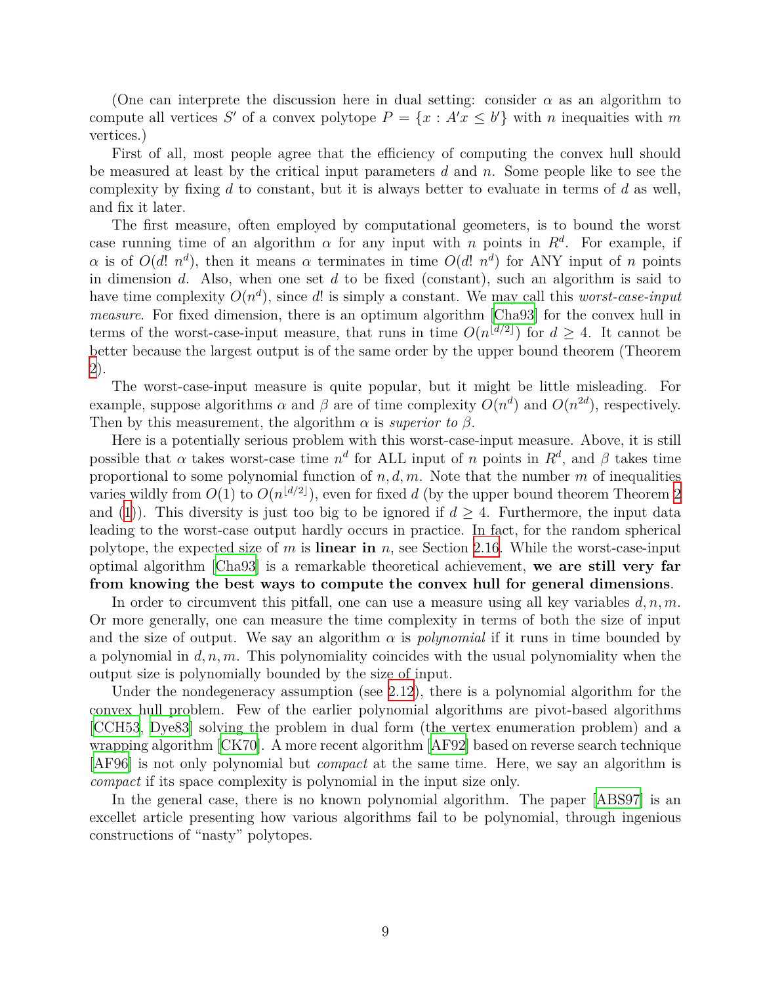(One can interprete the discussion here in dual setting: consider  $\alpha$  as an algorithm to compute all vertices *S'* of a convex polytope  $P = \{x : A'x \leq b'\}$  with *n* inequalties with *m* vertices.)

First of all, most people agree that the efficiency of computing the convex hull should be measured at least by the critical input parameters *d* and *n*. Some people like to see the complexity by fixing *d* to constant, but it is always better to evaluate in terms of *d* as well, and fix it later.

The first measure, often employed by computational geometers, is to bound the worst case running time of an algorithm  $\alpha$  for any input with *n* points in  $R^d$ . For example, if *α* is of  $O(d! n^d)$ , then it means *α* terminates in time  $O(d! n^d)$  for ANY input of *n* points in dimension *d*. Also, when one set *d* to be fixed (constant), such an algorithm is said to have time complexity *O*(*n d* ), since *d*! is simply a constant. We may call this *worst-case-input measure*. For fixed dimension, there is an optimum algorithm [[Cha93](#page-28-1)] for the convex hull in terms of the worst-case-input measure, that runs in time  $O(n^{\lfloor d/2 \rfloor})$  for  $d \geq 4$ . It cannot be better because the largest output is of the same order by the upper bound theorem (Theorem [2\)](#page-4-4).

The worst-case-input measure is quite popular, but it might be little misleading. For example, suppose algorithms  $\alpha$  and  $\beta$  are of time complexity  $O(n^d)$  and  $O(n^{2d})$ , respectively. Then by this measurement, the algorithm  $\alpha$  is *superior to*  $\beta$ .

Here is a potentially serious problem with this worst-case-input measure. Above, it is still possible that  $\alpha$  takes worst-case time  $n^d$  for ALL input of  $n$  points in  $R^d$ , and  $\beta$  takes time proportional to some polynomial function of *n, d, m*. Note that the number *m* of inequalities varies wildly from  $O(1)$  to  $O(n^{\lfloor d/2 \rfloor})$  $O(n^{\lfloor d/2 \rfloor})$  $O(n^{\lfloor d/2 \rfloor})$ , even for fixed d (by the upper bound theorem Theorem 2 and ([1\)](#page-5-1)). This diversity is just too big to be ignored if  $d \geq 4$ . Furthermore, the input data leading to the worst-case output hardly occurs in practice. In fact, for the random spherical polytope, the expected size of *m* is **linear in** *n*, see Section [2.16.](#page-9-0) While the worst-case-input optimal algorithm [\[Cha93\]](#page-28-1) is a remarkable theoretical achievement, **we are still very far from knowing the best ways to compute the convex hull for general dimensions**.

In order to circumvent this pitfall, one can use a measure using all key variables *d, n, m*. Or more generally, one can measure the time complexity in terms of both the size of input and the size of output. We say an algorithm  $\alpha$  is *polynomial* if it runs in time bounded by a polynomial in *d, n, m*. This polynomiality coincides with the usual polynomiality when the output size is polynomially bounded by the size of input.

Under the nondegeneracy assumption (see [2.12](#page-6-1)), there is a polynomial algorithm for the convex hull problem. Few of the earlier polynomial algorithms are pivot-based algorithms [\[CCH53,](#page-28-2) [Dye83](#page-29-6)] solving the problem in dual form (the vertex enumeration problem) and a wrapping algorithm [[CK70\]](#page-29-7). A more recent algorithm [[AF92\]](#page-28-3) based on reverse search technique [\[AF96](#page-28-4)] is not only polynomial but *compact* at the same time. Here, we say an algorithm is *compact* if its space complexity is polynomial in the input size only.

In the general case, there is no known polynomial algorithm. The paper [[ABS97](#page-28-5)] is an excellet article presenting how various algorithms fail to be polynomial, through ingenious constructions of "nasty" polytopes.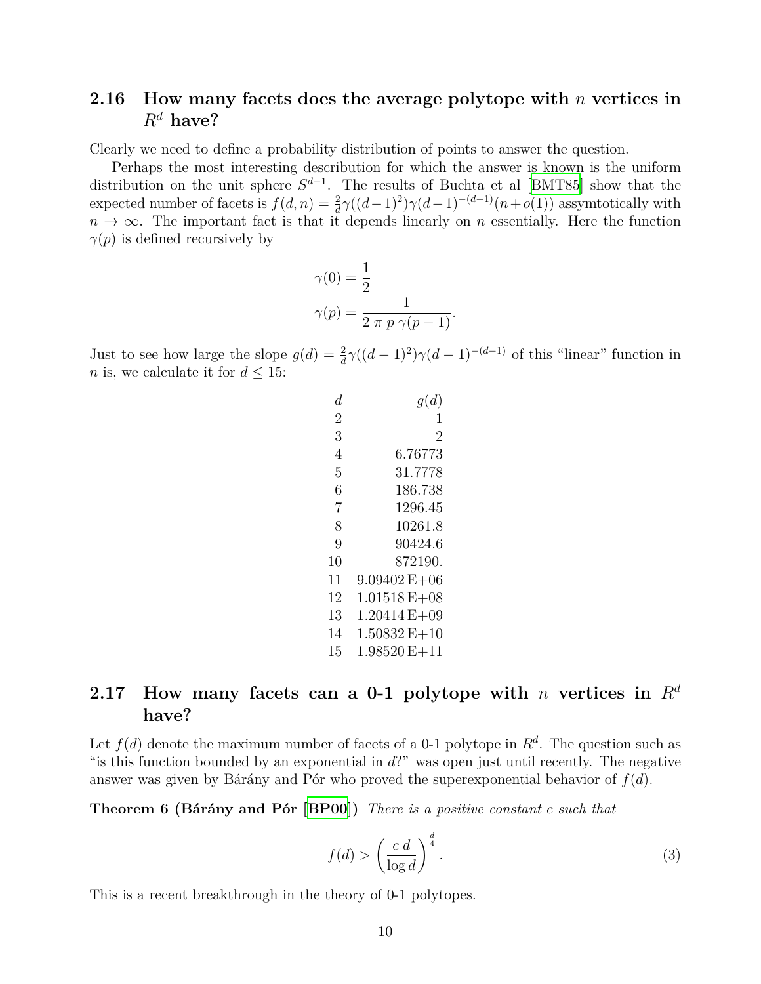### <span id="page-9-0"></span>**2.16 How many facets does the average polytope with** *n* **vertices in**  $R^d$  **have?**

Clearly we need to define a probability distribution of points to answer the question.

Perhaps the most interesting describution for which the answer is known is the uniform distribution on the unit sphere  $S^{d-1}$ . The results of Buchta et al [[BMT85\]](#page-28-6) show that the expected number of facets is  $f(d, n) = \frac{2}{d}\gamma((d-1)^2)\gamma(d-1)^{-(d-1)}(n+o(1))$  assymtotically with  $n \to \infty$ . The important fact is that it depends linearly on *n* essentially. Here the function  $\gamma(p)$  is defined recursively by

$$
\gamma(0) = \frac{1}{2}
$$

$$
\gamma(p) = \frac{1}{2 \pi p \gamma(p-1)}.
$$

Just to see how large the slope  $g(d) = \frac{2}{d}\gamma((d-1)^2)\gamma(d-1)^{-(d-1)}$  of this "linear" function in *n* is, we calculate it for  $d \leq 15$ :

| d              | g(d)                       |
|----------------|----------------------------|
| 2              | L                          |
| 3              | 2                          |
| 4              | 6.76773                    |
| 5              | 31.7778                    |
| 6              | 186.738                    |
| $\overline{7}$ | 1296.45                    |
| 8              | 10261.8                    |
| 9              | 90424.6                    |
| 10             | 872190.                    |
| 11             | $9.09402 E + 06$           |
| 12             | $1.01518\,\mathrm{E}{+}08$ |
| 13             | $1.20414 E + 09$           |
| 14             | $1.50832 E + 10$           |
| 15             | $1.98520E+11$              |

## <span id="page-9-1"></span>**2.17** How many facets can a 0-1 polytope with *n* vertices in  $R^d$ **have?**

Let  $f(d)$  denote the maximum number of facets of a 0-1 polytope in  $R^d$ . The question such as "is this function bounded by an exponential in *d*?" was open just until recently. The negative answer was given by Bárány and Pór who proved the superexponential behavior of *f*(*d*).

**Theorem 6 (Bárány and Pór [[BP00\]](#page-28-7))** *There is a positive constant c such that*

$$
f(d) > \left(\frac{c \, d}{\log d}\right)^{\frac{d}{4}}.\tag{3}
$$

This is a recent breakthrough in the theory of 0-1 polytopes.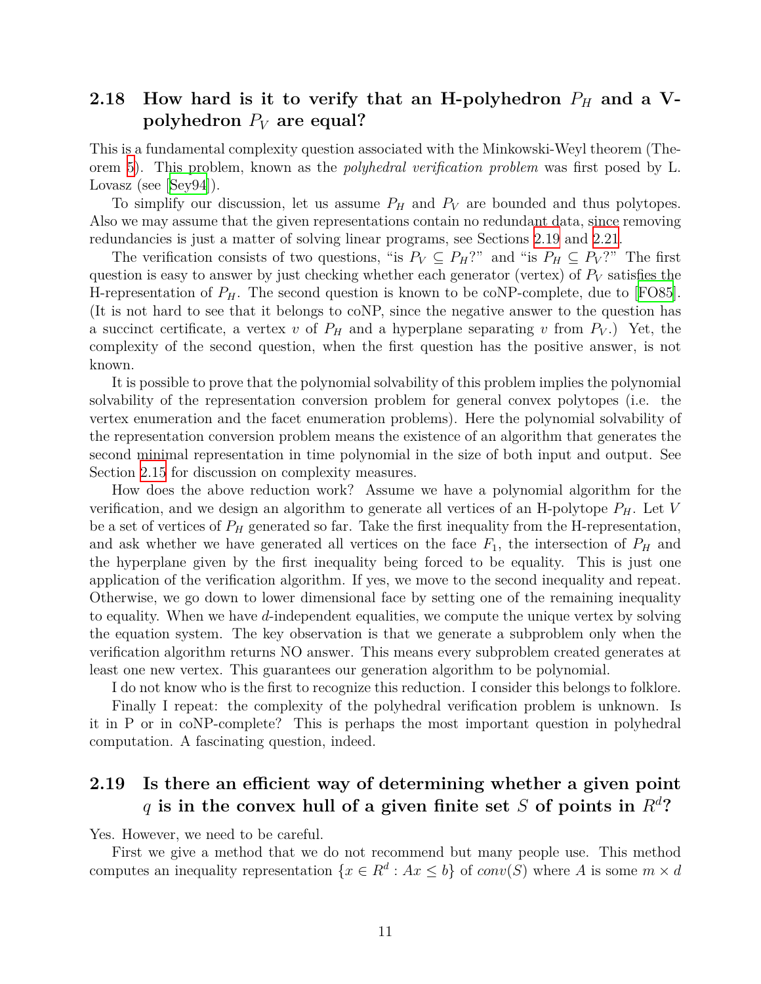# <span id="page-10-0"></span>2.18 How hard is it to verify that an H-polyhedron  $P_H$  and a V**polyhedron** *P<sup>V</sup>* **are equal?**

This is a fundamental complexity question associated with the Minkowski-Weyl theorem (Theorem [5](#page-6-3)). This problem, known as the *polyhedral verification problem* was first posed by L. Lovasz (see [[Sey94](#page-31-3)]).

To simplify our discussion, let us assume  $P_H$  and  $P_V$  are bounded and thus polytopes. Also we may assume that the given representations contain no redundant data, since removing redundancies is just a matter of solving linear programs, see Sections [2.19](#page-10-1) and [2.21](#page-12-0).

The verification consists of two questions, "is  $P_V \subseteq P_H$ ?" and "is  $P_H \subseteq P_V$ ?" The first question is easy to answer by just checking whether each generator (vertex) of  $P_V$  satisfies the H-representation of  $P_H$ . The second question is known to be coNP-complete, due to [[FO85\]](#page-29-8). (It is not hard to see that it belongs to coNP, since the negative answer to the question has a succinct certificate, a vertex *v* of  $P_H$  and a hyperplane separating *v* from  $P_V$ .) Yet, the complexity of the second question, when the first question has the positive answer, is not known.

It is possible to prove that the polynomial solvability of this problem implies the polynomial solvability of the representation conversion problem for general convex polytopes (i.e. the vertex enumeration and the facet enumeration problems). Here the polynomial solvability of the representation conversion problem means the existence of an algorithm that generates the second minimal representation in time polynomial in the size of both input and output. See Section [2.15](#page-7-1) for discussion on complexity measures.

How does the above reduction work? Assume we have a polynomial algorithm for the verification, and we design an algorithm to generate all vertices of an H-polytope *PH*. Let *V* be a set of vertices of *P<sup>H</sup>* generated so far. Take the first inequality from the H-representation, and ask whether we have generated all vertices on the face  $F_1$ , the intersection of  $P_H$  and the hyperplane given by the first inequality being forced to be equality. This is just one application of the verification algorithm. If yes, we move to the second inequality and repeat. Otherwise, we go down to lower dimensional face by setting one of the remaining inequality to equality. When we have *d*-independent equalities, we compute the unique vertex by solving the equation system. The key observation is that we generate a subproblem only when the verification algorithm returns NO answer. This means every subproblem created generates at least one new vertex. This guarantees our generation algorithm to be polynomial.

I do not know who is the first to recognize this reduction. I consider this belongs to folklore.

Finally I repeat: the complexity of the polyhedral verification problem is unknown. Is it in P or in coNP-complete? This is perhaps the most important question in polyhedral computation. A fascinating question, indeed.

# <span id="page-10-1"></span>**2.19 Is there an efficient way of determining whether a given point** *q* **is in the convex hull of a given finite set** *S* **of points in** *R<sup>d</sup>***?**

Yes. However, we need to be careful.

First we give a method that we do not recommend but many people use. This method computes an inequality representation  $\{x \in R^d : Ax \leq b\}$  of  $conv(S)$  where *A* is some  $m \times d$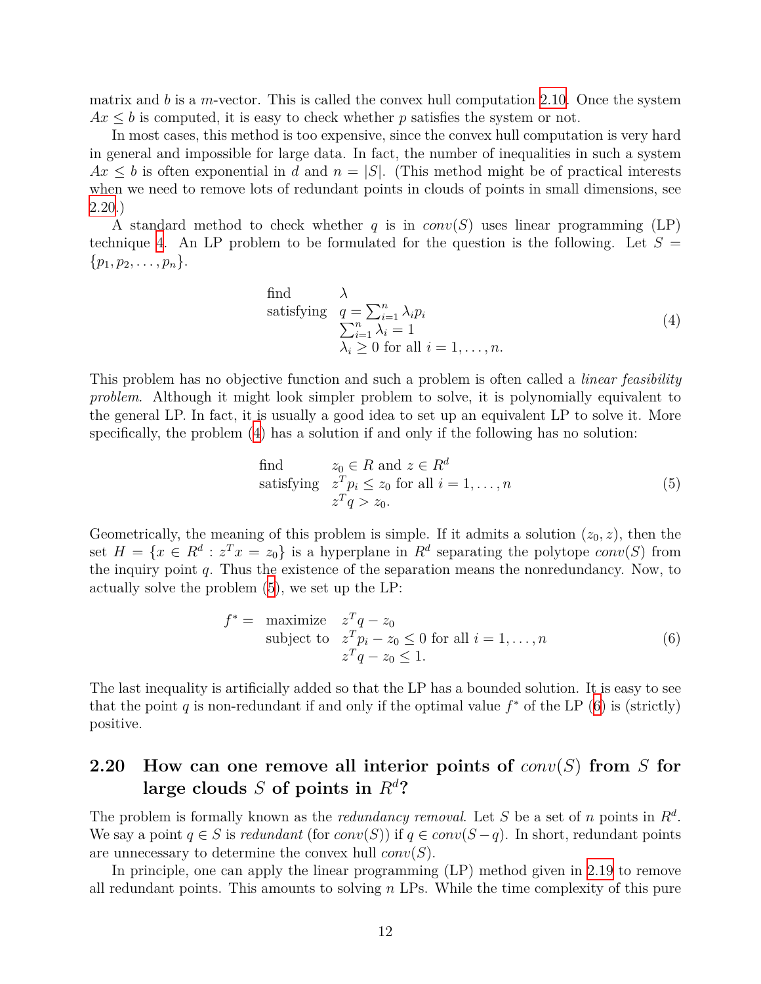matrix and *b* is a *m*-vector. This is called the convex hull computation [2.10.](#page-5-0) Once the system  $Ax \leq b$  is computed, it is easy to check whether p satisfies the system or not.

In most cases, this method is too expensive, since the convex hull computation is very hard in general and impossible for large data. In fact, the number of inequalities in such a system  $Ax \leq b$  is often exponential in *d* and  $n = |S|$ . (This method might be of practical interests when we need to remove lots of redundant points in clouds of points in small dimensions, see [2.20.](#page-11-0))

A standard method to check whether *q* is in *conv*(*S*) uses linear programming (LP) technique [4.](#page-25-1) An LP problem to be formulated for the question is the following. Let  $S =$ *{p*1*, p*2*, . . . , pn}*.

<span id="page-11-1"></span>find 
$$
\lambda
$$
  
satisfying  $q = \sum_{i=1}^{n} \lambda_i p_i$   
 $\sum_{i=1}^{n} \lambda_i = 1$   
 $\lambda_i \ge 0$  for all  $i = 1, ..., n$ . (4)

This problem has no objective function and such a problem is often called a *linear feasibility problem*. Although it might look simpler problem to solve, it is polynomially equivalent to the general LP. In fact, it is usually a good idea to set up an equivalent LP to solve it. More specifically, the problem ([4\)](#page-11-1) has a solution if and only if the following has no solution:

<span id="page-11-3"></span><span id="page-11-2"></span>find 
$$
z_0 \in R
$$
 and  $z \in R^d$   
satisfying  $z^T p_i \le z_0$  for all  $i = 1, ..., n$   
 $z^T q > z_0$ . (5)

Geometrically, the meaning of this problem is simple. If it admits a solution  $(z_0, z)$ , then the set  $H = \{x \in R^d : z^T x = z_0\}$  is a hyperplane in  $R^d$  separating the polytope *conv*(*S*) from the inquiry point *q*. Thus the existence of the separation means the nonredundancy. Now, to actually solve the problem [\(5](#page-11-2)), we set up the LP:

$$
f^* = \begin{array}{ll}\n\text{maximize} & z^T q - z_0 \\
\text{subject to} & z^T p_i - z_0 \le 0 \text{ for all } i = 1, \dots, n \\
& z^T q - z_0 \le 1.\n\end{array} \tag{6}
$$

The last inequality is artificially added so that the LP has a bounded solution. It is easy to see that the point  $q$  is non-redundant if and only if the optimal value  $f^*$  of the LP  $(6)$  $(6)$  is (strictly) positive.

### <span id="page-11-0"></span>**2.20 How can one remove all interior points of** *conv*(*S*) **from** *S* **for** large clouds *S* of points in  $R^d$ ?

The problem is formally known as the *redundancy removal*. Let *S* be a set of *n* points in *R<sup>d</sup>* . We say a point  $q \in S$  is *redundant* (for  $conv(S)$ ) if  $q \in conv(S-q)$ . In short, redundant points are unnecessary to determine the convex hull *conv*(*S*).

In principle, one can apply the linear programming (LP) method given in [2.19](#page-10-1) to remove all redundant points. This amounts to solving *n* LPs. While the time complexity of this pure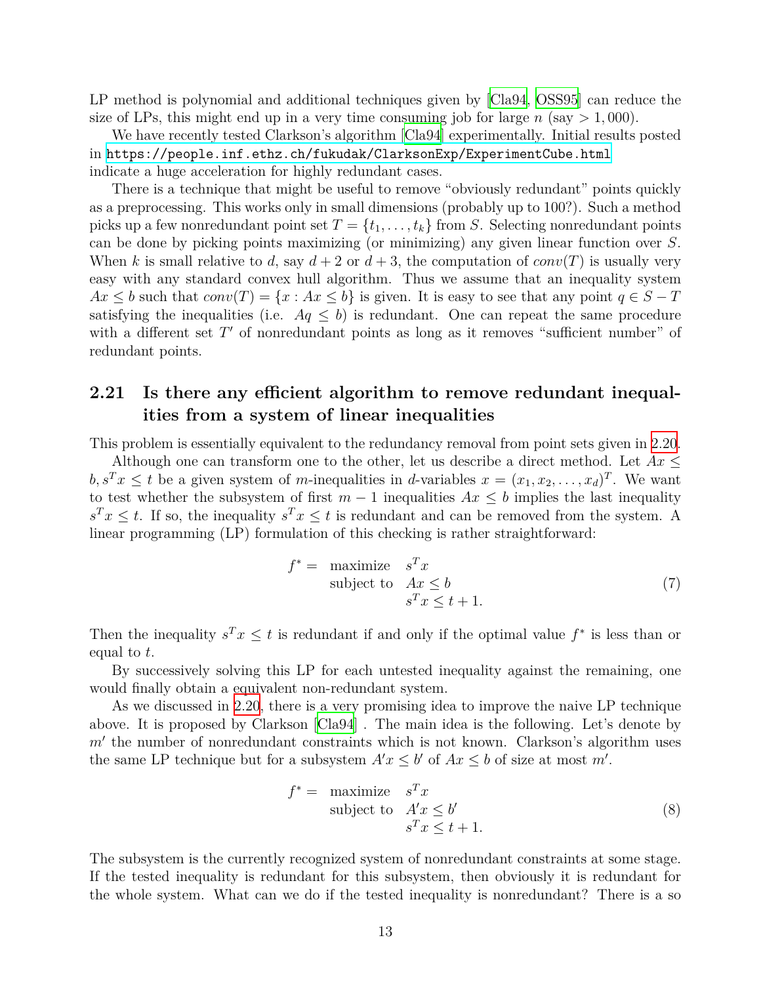LP method is polynomial and additional techniques given by  $|Cla94, OSS95|$  $|Cla94, OSS95|$  $|Cla94, OSS95|$  $|Cla94, OSS95|$  $|Cla94, OSS95|$  can reduce the size of LPs, this might end up in a very time consuming job for large  $n$  (say  $> 1,000$ ).

We have recently tested Clarkson's algorithm [[Cla94\]](#page-29-9) experimentally. Initial results posted in <https://people.inf.ethz.ch/fukudak/ClarksonExp/ExperimentCube.html> indicate a huge acceleration for highly redundant cases.

There is a technique that might be useful to remove "obviously redundant" points quickly as a preprocessing. This works only in small dimensions (probably up to 100?). Such a method picks up a few nonredundant point set  $T = \{t_1, \ldots, t_k\}$  from *S*. Selecting nonredundant points can be done by picking points maximizing (or minimizing) any given linear function over *S*. When *k* is small relative to *d*, say  $d+2$  or  $d+3$ , the computation of *conv*(*T*) is usually very easy with any standard convex hull algorithm. Thus we assume that an inequality system  $Ax \leq b$  such that  $conv(T) = \{x : Ax \leq b\}$  is given. It is easy to see that any point  $q \in S - T$ satisfying the inequalities (i.e.  $Aq \leq b$ ) is redundant. One can repeat the same procedure with a different set T' of nonredundant points as long as it removes "sufficient number" of redundant points.

### <span id="page-12-0"></span>**2.21 Is there any efficient algorithm to remove redundant inequalities from a system of linear inequalities**

This problem is essentially equivalent to the redundancy removal from point sets given in [2.20.](#page-11-0)

Although one can transform one to the other, let us describe a direct method. Let *Ax ≤*  $b, s^T x \leq t$  be a given system of *m*-inequalities in *d*-variables  $x = (x_1, x_2, \ldots, x_d)^T$ . We want to test whether the subsystem of first  $m-1$  inequalities  $Ax \leq b$  implies the last inequality  $s^T x \leq t$ . If so, the inequality  $s^T x \leq t$  is redundant and can be removed from the system. A linear programming (LP) formulation of this checking is rather straightforward:

$$
f^* = \begin{array}{ll}\n\text{maximize} & s^T x \\
\text{subject to} & Ax \leq b \\
& s^T x \leq t + 1.\n\end{array} \tag{7}
$$

Then the inequality  $s^T x \leq t$  is redundant if and only if the optimal value  $f^*$  is less than or equal to *t*.

By successively solving this LP for each untested inequality against the remaining, one would finally obtain a equivalent non-redundant system.

As we discussed in [2.20](#page-11-0), there is a very promising idea to improve the naive LP technique above. It is proposed by Clarkson [[Cla94\]](#page-29-9) . The main idea is the following. Let's denote by *m′* the number of nonredundant constraints which is not known. Clarkson's algorithm uses the same LP technique but for a subsystem  $A'x \leq b'$  of  $Ax \leq b$  of size at most  $m'$ .

$$
f^* = \begin{array}{ll}\n\text{maximize} & s^T x \\
\text{subject to} & A' x \le b' \\
& s^T x \le t + 1.\n\end{array} \tag{8}
$$

The subsystem is the currently recognized system of nonredundant constraints at some stage. If the tested inequality is redundant for this subsystem, then obviously it is redundant for the whole system. What can we do if the tested inequality is nonredundant? There is a so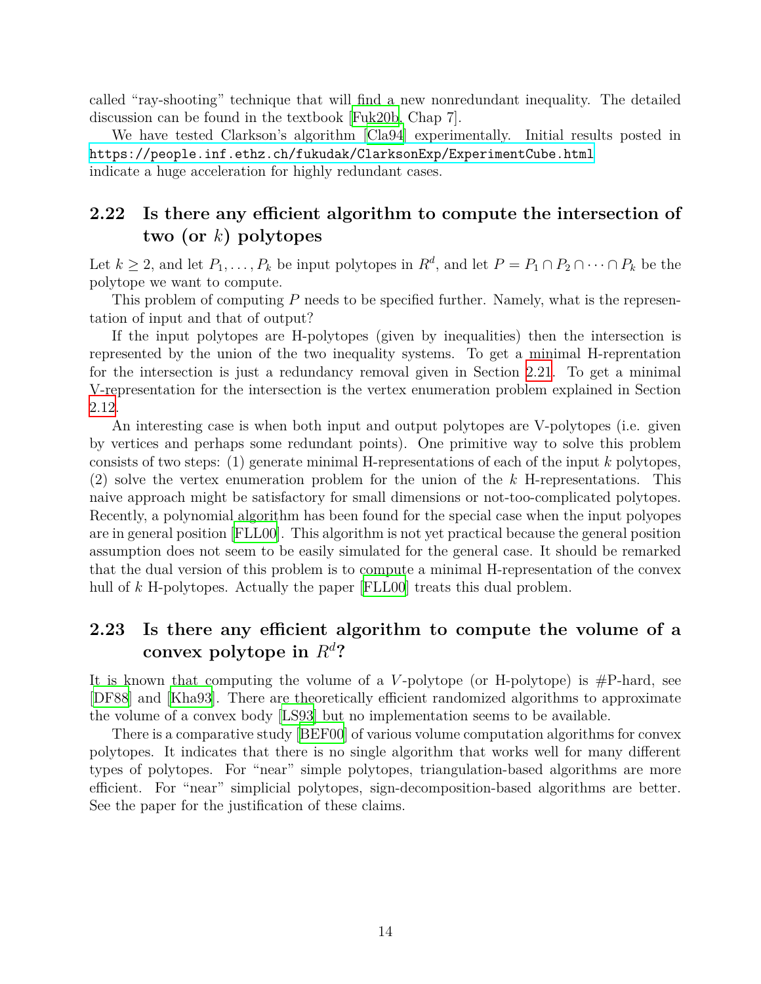called "ray-shooting" technique that will find a new nonredundant inequality. The detailed discussion can be found in the textbook [[Fuk20b](#page-29-3), Chap 7].

We have tested Clarkson's algorithm [\[Cla94\]](#page-29-9) experimentally. Initial results posted in <https://people.inf.ethz.ch/fukudak/ClarksonExp/ExperimentCube.html> indicate a huge acceleration for highly redundant cases.

## <span id="page-13-0"></span>**2.22 Is there any efficient algorithm to compute the intersection of two (or** *k***) polytopes**

Let  $k \geq 2$ , and let  $P_1, \ldots, P_k$  be input polytopes in  $R^d$ , and let  $P = P_1 \cap P_2 \cap \cdots \cap P_k$  be the polytope we want to compute.

This problem of computing *P* needs to be specified further. Namely, what is the representation of input and that of output?

If the input polytopes are H-polytopes (given by inequalities) then the intersection is represented by the union of the two inequality systems. To get a minimal H-reprentation for the intersection is just a redundancy removal given in Section [2.21](#page-12-0). To get a minimal V-representation for the intersection is the vertex enumeration problem explained in Section [2.12.](#page-6-1)

An interesting case is when both input and output polytopes are V-polytopes (i.e. given by vertices and perhaps some redundant points). One primitive way to solve this problem consists of two steps: (1) generate minimal H-representations of each of the input *k* polytopes, (2) solve the vertex enumeration problem for the union of the *k* H-representations. This naive approach might be satisfactory for small dimensions or not-too-complicated polytopes. Recently, a polynomial algorithm has been found for the special case when the input polyopes are in general position [[FLL00\]](#page-29-10). This algorithm is not yet practical because the general position assumption does not seem to be easily simulated for the general case. It should be remarked that the dual version of this problem is to compute a minimal H-representation of the convex hull of *k* H-polytopes. Actually the paper [\[FLL00](#page-29-10)] treats this dual problem.

### <span id="page-13-1"></span>**2.23 Is there any efficient algorithm to compute the volume of a convex polytope in**  $R^d$ ?

It is known that computing the volume of a *V* -polytope (or H-polytope) is #P-hard, see [\[DF88\]](#page-29-11) and [\[Kha93](#page-30-7)]. There are theoretically efficient randomized algorithms to approximate the volume of a convex body [[LS93](#page-30-8)] but no implementation seems to be available.

There is a comparative study [\[BEF00\]](#page-28-8) of various volume computation algorithms for convex polytopes. It indicates that there is no single algorithm that works well for many different types of polytopes. For "near" simple polytopes, triangulation-based algorithms are more efficient. For "near" simplicial polytopes, sign-decomposition-based algorithms are better. See the paper for the justification of these claims.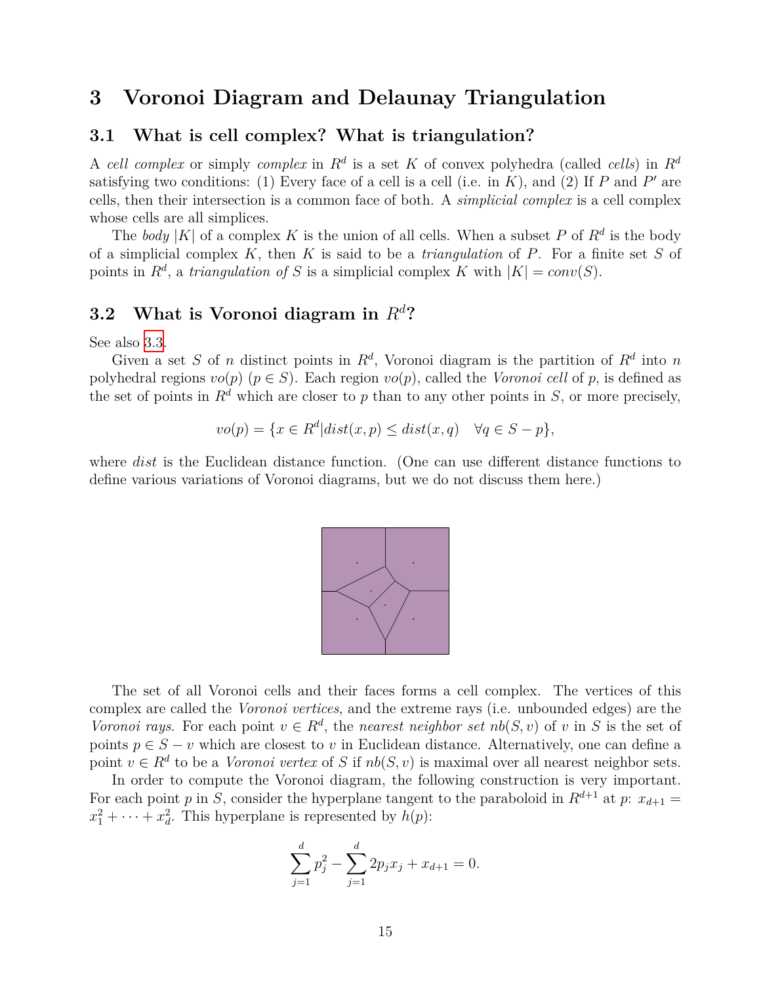# <span id="page-14-0"></span>**3 Voronoi Diagram and Delaunay Triangulation**

#### <span id="page-14-1"></span>**3.1 What is cell complex? What is triangulation?**

A *cell complex* or simply *complex* in *R<sup>d</sup>* is a set *K* of convex polyhedra (called *cells*) in *R<sup>d</sup>* satisfying two conditions: (1) Every face of a cell is a cell (i.e. in *K*), and (2) If *P* and *P ′* are cells, then their intersection is a common face of both. A *simplicial complex* is a cell complex whose cells are all simplices.

The *body* |K| of a complex K is the union of all cells. When a subset P of  $R^d$  is the body of a simplicial complex *K*, then *K* is said to be a *triangulation* of *P*. For a finite set *S* of points in  $R^d$ , a *triangulation of S* is a simplicial complex *K* with  $|K| = conv(S)$ .

### <span id="page-14-2"></span>**3.2 What is Voronoi diagram in** *R<sup>d</sup>***?**

See also [3.3](#page-15-0).

Given a set *S* of *n* distinct points in  $R^d$ , Voronoi diagram is the partition of  $R^d$  into *n* polyhedral regions  $vo(p)$  ( $p \in S$ ). Each region  $vo(p)$ , called the *Voronoi cell* of p, is defined as the set of points in  $R^d$  which are closer to p than to any other points in *S*, or more precisely,

$$
vo(p) = \{x \in R^d | dist(x, p) \le dist(x, q) \quad \forall q \in S - p\},\
$$

where *dist* is the Euclidean distance function. (One can use different distance functions to define various variations of Voronoi diagrams, but we do not discuss them here.)



The set of all Voronoi cells and their faces forms a cell complex. The vertices of this complex are called the *Voronoi vertices*, and the extreme rays (i.e. unbounded edges) are the *Voronoi rays.* For each point  $v \in R^d$ , the *nearest neighbor set*  $nb(S, v)$  of *v* in *S* is the set of points  $p \in S - v$  which are closest to *v* in Euclidean distance. Alternatively, one can define a point  $v \in R^d$  to be a *Voronoi vertex* of *S* if  $nb(S, v)$  is maximal over all nearest neighbor sets.

In order to compute the Voronoi diagram, the following construction is very important. For each point *p* in *S*, consider the hyperplane tangent to the paraboloid in  $R^{d+1}$  at *p*:  $x_{d+1}$  $x_1^2 + \cdots + x_d^2$ . This hyperplane is represented by  $h(p)$ :

$$
\sum_{j=1}^{d} p_j^2 - \sum_{j=1}^{d} 2p_j x_j + x_{d+1} = 0.
$$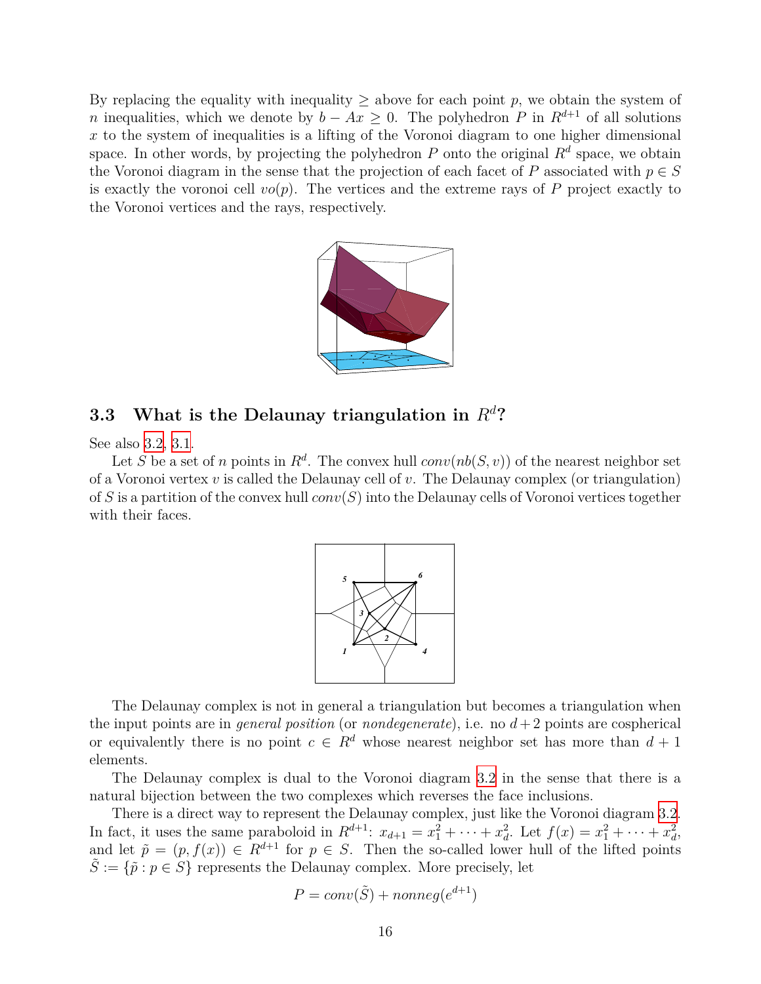By replacing the equality with inequality  $\geq$  above for each point p, we obtain the system of *n* inequalities, which we denote by  $b - Ax \geq 0$ . The polyhedron *P* in  $R^{d+1}$  of all solutions *x* to the system of inequalities is a lifting of the Voronoi diagram to one higher dimensional space. In other words, by projecting the polyhedron  $P$  onto the original  $R<sup>d</sup>$  space, we obtain the Voronoi diagram in the sense that the projection of each facet of *P* associated with  $p \in S$ is exactly the voronoi cell  $vo(p)$ . The vertices and the extreme rays of  $P$  project exactly to the Voronoi vertices and the rays, respectively.



#### <span id="page-15-0"></span>**3.3 What is the Delaunay triangulation in** *R<sup>d</sup>***?**

See also [3.2](#page-14-2), [3.1](#page-14-1).

Let *S* be a set of *n* points in  $R^d$ . The convex hull  $conv(nb(S, v))$  of the nearest neighbor set of a Voronoi vertex *v* is called the Delaunay cell of *v*. The Delaunay complex (or triangulation) of *S* is a partition of the convex hull *conv*(*S*) into the Delaunay cells of Voronoi vertices together with their faces.



The Delaunay complex is not in general a triangulation but becomes a triangulation when the input points are in *general position* (or *nondegenerate*), i.e. no  $d+2$  points are cospherical or equivalently there is no point  $c \in R^d$  whose nearest neighbor set has more than  $d+1$ elements.

The Delaunay complex is dual to the Voronoi diagram [3.2](#page-14-2) in the sense that there is a natural bijection between the two complexes which reverses the face inclusions.

There is a direct way to represent the Delaunay complex, just like the Voronoi diagram [3.2.](#page-14-2) In fact, it uses the same paraboloid in  $R^{d+1}$ :  $x_{d+1} = x_1^2 + \cdots + x_d^2$ . Let  $f(x) = x_1^2 + \cdots + x_d^2$ , and let  $\tilde{p} = (p, f(x)) \in R^{d+1}$  for  $p \in S$ . Then the so-called lower hull of the lifted points  $S := \{ \tilde{p} : p \in S \}$  represents the Delaunay complex. More precisely, let

$$
P = conv(\tilde{S}) + nonneg(e^{d+1})
$$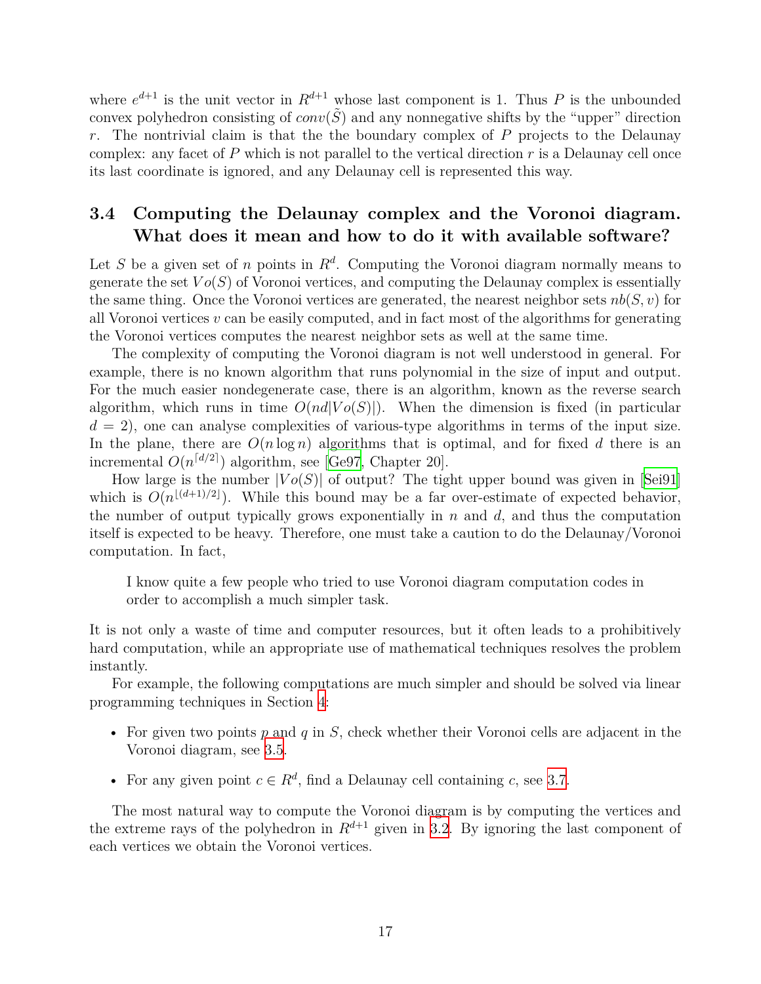where  $e^{d+1}$  is the unit vector in  $R^{d+1}$  whose last component is 1. Thus P is the unbounded convex polyhedron consisting of  $conv(\tilde{S})$  and any nonnegative shifts by the "upper" direction *r*. The nontrivial claim is that the the boundary complex of *P* projects to the Delaunay complex: any facet of  $P$  which is not parallel to the vertical direction  $r$  is a Delaunay cell once its last coordinate is ignored, and any Delaunay cell is represented this way.

### <span id="page-16-0"></span>**3.4 Computing the Delaunay complex and the Voronoi diagram. What does it mean and how to do it with available software?**

Let *S* be a given set of *n* points in  $R^d$ . Computing the Voronoi diagram normally means to generate the set  $Vo(S)$  of Voronoi vertices, and computing the Delaunay complex is essentially the same thing. Once the Voronoi vertices are generated, the nearest neighbor sets *nb*(*S, v*) for all Voronoi vertices *v* can be easily computed, and in fact most of the algorithms for generating the Voronoi vertices computes the nearest neighbor sets as well at the same time.

The complexity of computing the Voronoi diagram is not well understood in general. For example, there is no known algorithm that runs polynomial in the size of input and output. For the much easier nondegenerate case, there is an algorithm, known as the reverse search algorithm, which runs in time  $O(nd|Vo(S)|)$ . When the dimension is fixed (in particular  $d = 2$ , one can analyse complexities of various-type algorithms in terms of the input size. In the plane, there are  $O(n \log n)$  algorithms that is optimal, and for fixed d there is an incremental  $O(n^{\lceil d/2 \rceil})$  algorithm, see [\[Ge97](#page-29-1), Chapter 20].

How large is the number  $|V_0(S)|$  of output? The tight upper bound was given in [\[Sei91\]](#page-31-4) which is  $O(n^{\lfloor (d+1)/2 \rfloor})$ . While this bound may be a far over-estimate of expected behavior, the number of output typically grows exponentially in *n* and *d*, and thus the computation itself is expected to be heavy. Therefore, one must take a caution to do the Delaunay/Voronoi computation. In fact,

I know quite a few people who tried to use Voronoi diagram computation codes in order to accomplish a much simpler task.

It is not only a waste of time and computer resources, but it often leads to a prohibitively hard computation, while an appropriate use of mathematical techniques resolves the problem instantly.

For example, the following computations are much simpler and should be solved via linear programming techniques in Section [4:](#page-25-1)

- For given two points *p* and *q* in *S*, check whether their Voronoi cells are adjacent in the Voronoi diagram, see [3.5](#page-20-0).
- For any given point  $c \in \mathbb{R}^d$ , find a Delaunay cell containing *c*, see [3.7.](#page-23-1)

The most natural way to compute the Voronoi diagram is by computing the vertices and the extreme rays of the polyhedron in  $R^{d+1}$  given in [3.2](#page-14-2). By ignoring the last component of each vertices we obtain the Voronoi vertices.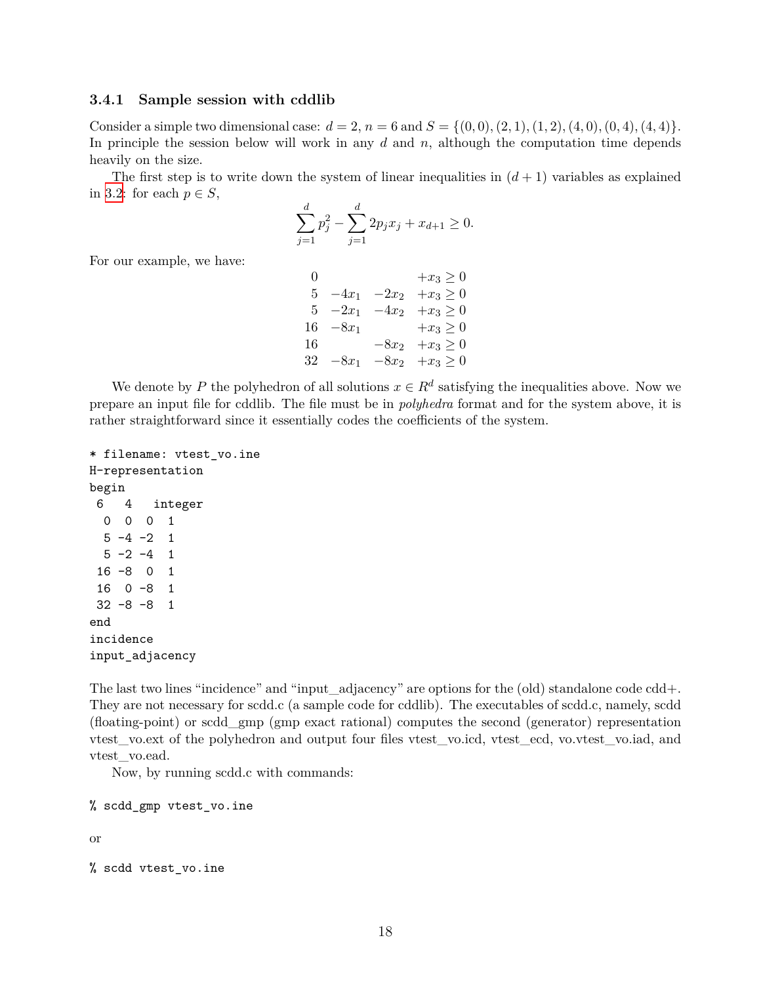#### <span id="page-17-0"></span>**3.4.1 Sample session with cddlib**

Consider a simple two dimensional case:  $d = 2$ ,  $n = 6$  and  $S = \{(0,0), (2,1), (1,2), (4,0), (0,4), (4,4)\}.$ In principle the session below will work in any *d* and *n*, although the computation time depends heavily on the size.

The first step is to write down the system of linear inequalities in  $(d+1)$  variables as explained in [3.2:](#page-14-2) for each  $p \in S$ ,

$$
\sum_{j=1}^{d} p_j^2 - \sum_{j=1}^{d} 2p_j x_j + x_{d+1} \ge 0.
$$

For our example, we have:

| 0  |             | $+x_3\geq 0$                    |
|----|-------------|---------------------------------|
| 5  |             | $-4x_1$ $-2x_2$ $+x_3 \ge 0$    |
|    | $5 -2x_1$   | $-4x_2 + x_3 \ge 0$             |
|    | $16 - 8x_1$ | $+x_3\geq 0$                    |
| 16 |             | $-8x_2 + x_3 \ge 0$             |
|    |             | 32 $-8x_1$ $-8x_2$ $+x_3 \ge 0$ |

We denote by *P* the polyhedron of all solutions  $x \in R^d$  satisfying the inequalities above. Now we prepare an input file for cddlib. The file must be in *polyhedra* format and for the system above, it is rather straightforward since it essentially codes the coefficients of the system.

```
* filename: vtest_vo.ine
H-representation
begin
6 4 integer
 0 0 0 1
 5 -4 -2 15 -2 -4 116 -8 0 1
16 0 -8 1
32 -8 -8 1
end
incidence
input_adjacency
```
The last two lines "incidence" and "input\_adjacency" are options for the (old) standalone code cdd+. They are not necessary for scdd.c (a sample code for cddlib). The executables of scdd.c, namely, scdd (floating-point) or scdd\_gmp (gmp exact rational) computes the second (generator) representation vtest\_vo.ext of the polyhedron and output four files vtest\_vo.icd, vtest\_ecd, vo.vtest\_vo.iad, and vtest\_vo.ead.

Now, by running scdd.c with commands:

% scdd\_gmp vtest\_vo.ine

or

```
% scdd vtest_vo.ine
```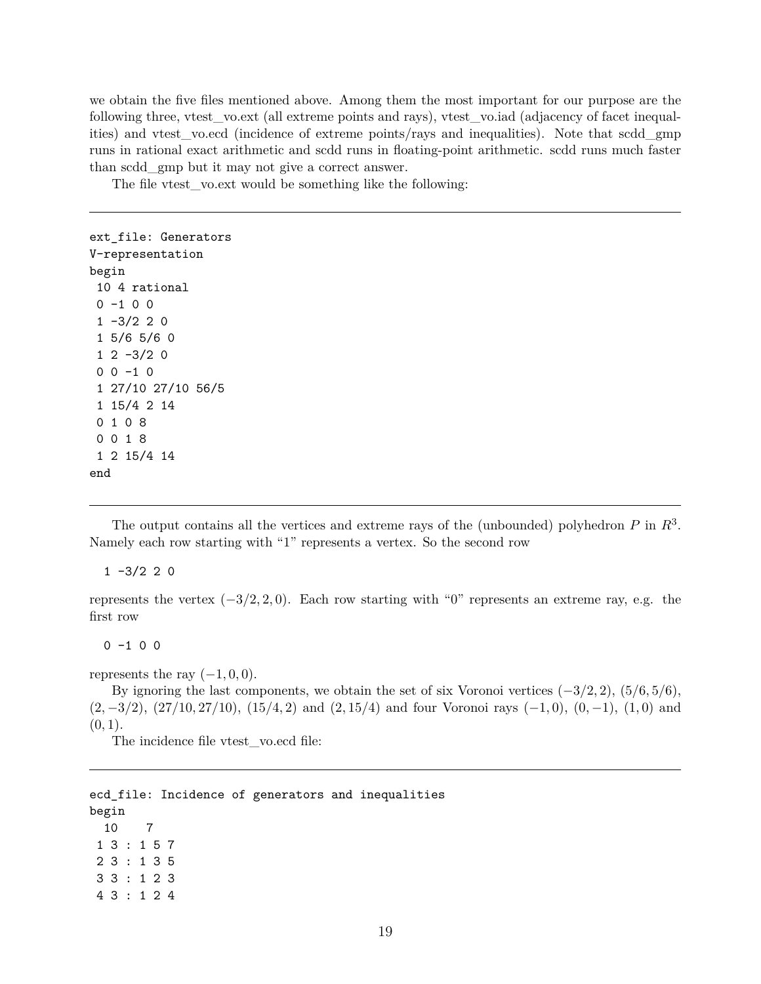we obtain the five files mentioned above. Among them the most important for our purpose are the following three, vtest\_vo.ext (all extreme points and rays), vtest\_vo.iad (adjacency of facet inequalities) and vtest\_vo.ecd (incidence of extreme points/rays and inequalities). Note that scdd\_gmp runs in rational exact arithmetic and scdd runs in floating-point arithmetic. scdd runs much faster than scdd\_gmp but it may not give a correct answer.

The file vtest vo.ext would be something like the following:

```
ext_file: Generators
V-representation
begin
 10 4 rational
 0 -1 0 0
 1 -3/2 2 01 5/6 5/6 0
 1 2 -3/2 00 0 -1 01 27/10 27/10 56/5
 1 15/4 2 14
 0 1 0 8
 0 0 1 8
 1 2 15/4 14
end
```
The output contains all the vertices and extreme rays of the (unbounded) polyhedron *P* in *R*<sup>3</sup> . Namely each row starting with "1" represents a vertex. So the second row

 $1 -3/2 2 0$ 

represents the vertex (*−*3*/*2*,* 2*,* 0). Each row starting with "0" represents an extreme ray, e.g. the first row

 $0 -1 0 0$ 

represents the ray  $(-1, 0, 0)$ .

By ignoring the last components, we obtain the set of six Voronoi vertices (*−*3*/*2*,* 2), (5*/*6*,* 5*/*6), (2*, −*3*/*2), (27*/*10*,* 27*/*10), (15*/*4*,* 2) and (2*,* 15*/*4) and four Voronoi rays (*−*1*,* 0), (0*, −*1), (1*,* 0) and  $(0, 1)$ .

The incidence file vtest vo.ecd file:

ecd\_file: Incidence of generators and inequalities begin 10 7 1 3 : 1 5 7 2 3 : 1 3 5 3 3 : 1 2 3 4 3 : 1 2 4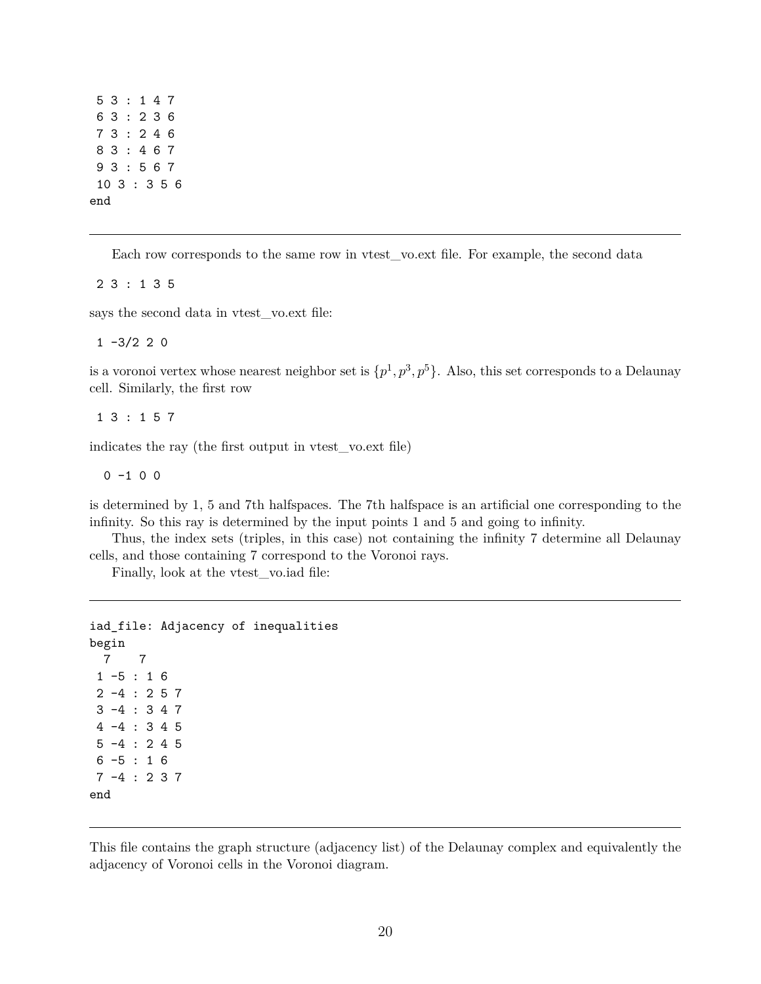Each row corresponds to the same row in vtest\_vo.ext file. For example, the second data

2 3 : 1 3 5

says the second data in vtest vo.ext file:

 $1 -3/2 2 0$ 

is a voronoi vertex whose nearest neighbor set is  $\{p^1, p^3, p^5\}$ . Also, this set corresponds to a Delaunay cell. Similarly, the first row

1 3 : 1 5 7

indicates the ray (the first output in vtest\_vo.ext file)

 $0 -1 0 0$ 

is determined by 1, 5 and 7th halfspaces. The 7th halfspace is an artificial one corresponding to the infinity. So this ray is determined by the input points 1 and 5 and going to infinity.

Thus, the index sets (triples, in this case) not containing the infinity 7 determine all Delaunay cells, and those containing 7 correspond to the Voronoi rays.

Finally, look at the vtest\_vo.iad file:

```
iad_file: Adjacency of inequalities
begin
 7 7
 1 - 5 : 162 -4 : 2573 -4 : 3 4 7
 4 -4 : 3 4 5
 5 -4 : 2 4 5
 6 -5 : 1 6
 7 -4 : 2 3 7
end
```
This file contains the graph structure (adjacency list) of the Delaunay complex and equivalently the adjacency of Voronoi cells in the Voronoi diagram.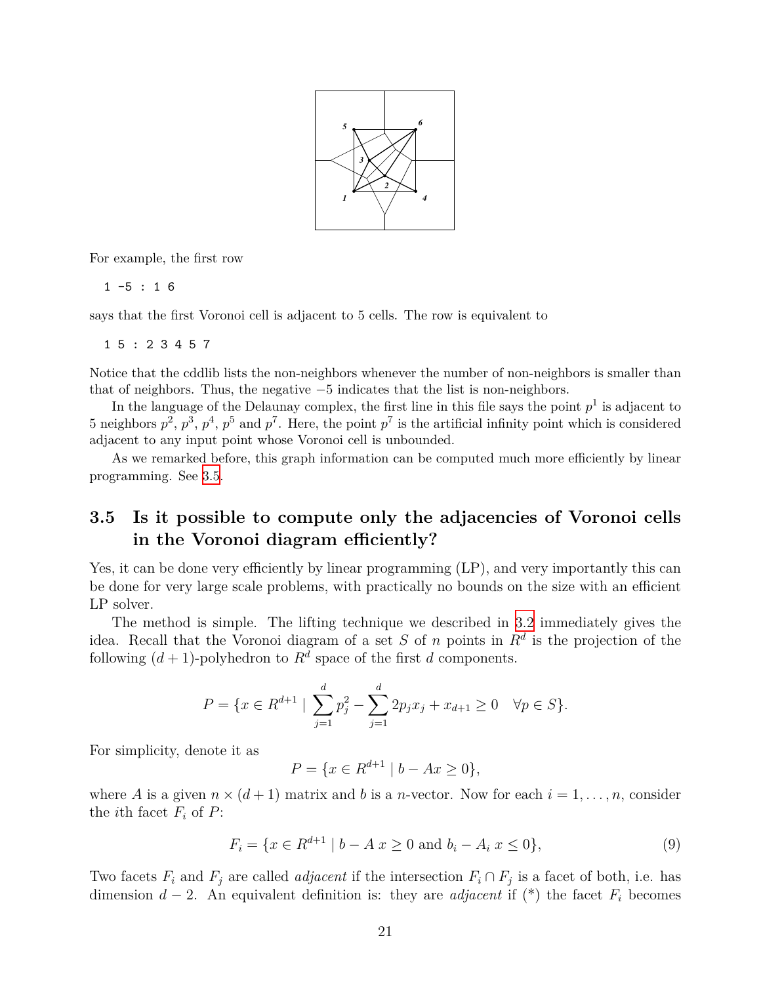

For example, the first row

1 -5 : 1 6

says that the first Voronoi cell is adjacent to 5 cells. The row is equivalent to

1 5 : 2 3 4 5 7

Notice that the cddlib lists the non-neighbors whenever the number of non-neighbors is smaller than that of neighbors. Thus, the negative *−*5 indicates that the list is non-neighbors.

In the language of the Delaunay complex, the first line in this file says the point  $p<sup>1</sup>$  is adjacent to 5 neighbors  $p^2$ ,  $p^3$ ,  $p^4$ ,  $p^5$  and  $p^7$ . Here, the point  $p^7$  is the artificial infinity point which is considered adjacent to any input point whose Voronoi cell is unbounded.

As we remarked before, this graph information can be computed much more efficiently by linear programming. See [3.5.](#page-20-0)

## <span id="page-20-0"></span>**3.5 Is it possible to compute only the adjacencies of Voronoi cells in the Voronoi diagram efficiently?**

Yes, it can be done very efficiently by linear programming  $(LP)$ , and very importantly this can be done for very large scale problems, with practically no bounds on the size with an efficient LP solver.

The method is simple. The lifting technique we described in [3.2](#page-14-2) immediately gives the idea. Recall that the Voronoi diagram of a set *S* of *n* points in *R<sup>d</sup>* is the projection of the following  $(d+1)$ -polyhedron to  $R^d$  space of the first *d* components.

$$
P = \{x \in R^{d+1} \mid \sum_{j=1}^{d} p_j^2 - \sum_{j=1}^{d} 2p_j x_j + x_{d+1} \ge 0 \quad \forall p \in S\}.
$$

For simplicity, denote it as

$$
P = \{ x \in R^{d+1} \mid b - Ax \ge 0 \},\
$$

where A is a given  $n \times (d+1)$  matrix and b is a *n*-vector. Now for each  $i = 1, \ldots, n$ , consider the *i*<sup>th</sup> facet  $F_i$  of  $P$ :

$$
F_i = \{ x \in R^{d+1} \mid b - A \mid x \ge 0 \text{ and } b_i - A_i \mid x \le 0 \},\tag{9}
$$

Two facets  $F_i$  and  $F_j$  are called *adjacent* if the intersection  $F_i \cap F_j$  is a facet of both, i.e. has dimension  $d-2$ . An equivalent definition is: they are *adjacent* if (\*) the facet  $F_i$  becomes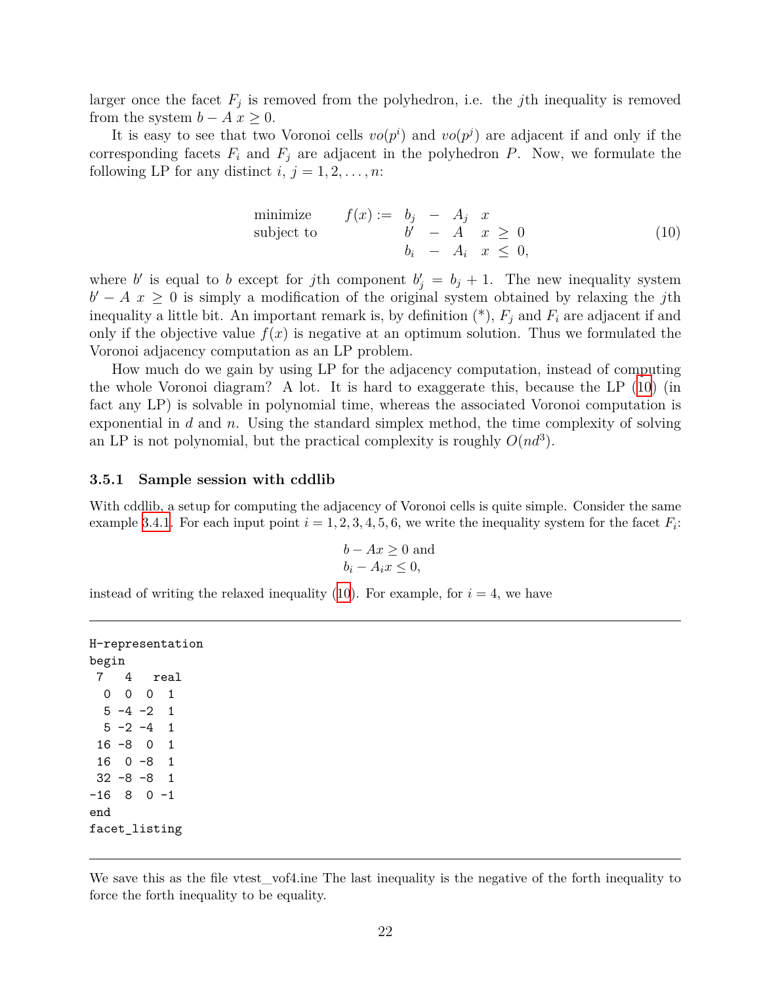larger once the facet  $F_j$  is removed from the polyhedron, i.e. the *j*th inequality is removed from the system  $b - A x \geq 0$ .

It is easy to see that two Voronoi cells  $vo(p^i)$  and  $vo(p^j)$  are adjacent if and only if the corresponding facets  $F_i$  and  $F_j$  are adjacent in the polyhedron  $P$ . Now, we formulate the following LP for any distinct  $i, j = 1, 2, \ldots, n$ :

<span id="page-21-1"></span>minimize 
$$
f(x) := b_j - A_j x
$$
  
\nsubject to  $b' - A x \ge 0$   
\n $b_i - A_i x \le 0$ , (10)

where *b'* is equal to *b* except for *j*th component  $b'_{j} = b_{j} + 1$ . The new inequality system  $b' - A x \geq 0$  is simply a modification of the original system obtained by relaxing the *j*th inequality a little bit. An important remark is, by definition  $(*), F_j$  and  $F_i$  are adjacent if and only if the objective value  $f(x)$  is negative at an optimum solution. Thus we formulated the Voronoi adjacency computation as an LP problem.

How much do we gain by using LP for the adjacency computation, instead of computing the whole Voronoi diagram? A lot. It is hard to exaggerate this, because the LP ([10](#page-21-1)) (in fact any LP) is solvable in polynomial time, whereas the associated Voronoi computation is exponential in *d* and *n*. Using the standard simplex method, the time complexity of solving an LP is not polynomial, but the practical complexity is roughly  $O(nd^3)$ .

#### <span id="page-21-0"></span>**3.5.1 Sample session with cddlib**

With cddlib, a setup for computing the adjacency of Voronoi cells is quite simple. Consider the same example [3.4.1.](#page-17-0) For each input point  $i = 1, 2, 3, 4, 5, 6$ , we write the inequality system for the facet  $F_i$ :

$$
b - Ax \ge 0
$$
 and  

$$
b_i - A_i x \le 0,
$$

instead of writing the relaxed inequality  $(10)$  $(10)$ . For example, for  $i = 4$ , we have

```
H-representation
begin
7 4 real
 0 0 0 1
 5 -4 -2 15 - 2 - 4 1
16 -8 0 1
16 0 -8 1
32 -8 -8 1
-16 8 0 -1end
facet_listing
```
We save this as the file vtest\_vof4.ine The last inequality is the negative of the forth inequality to force the forth inequality to be equality.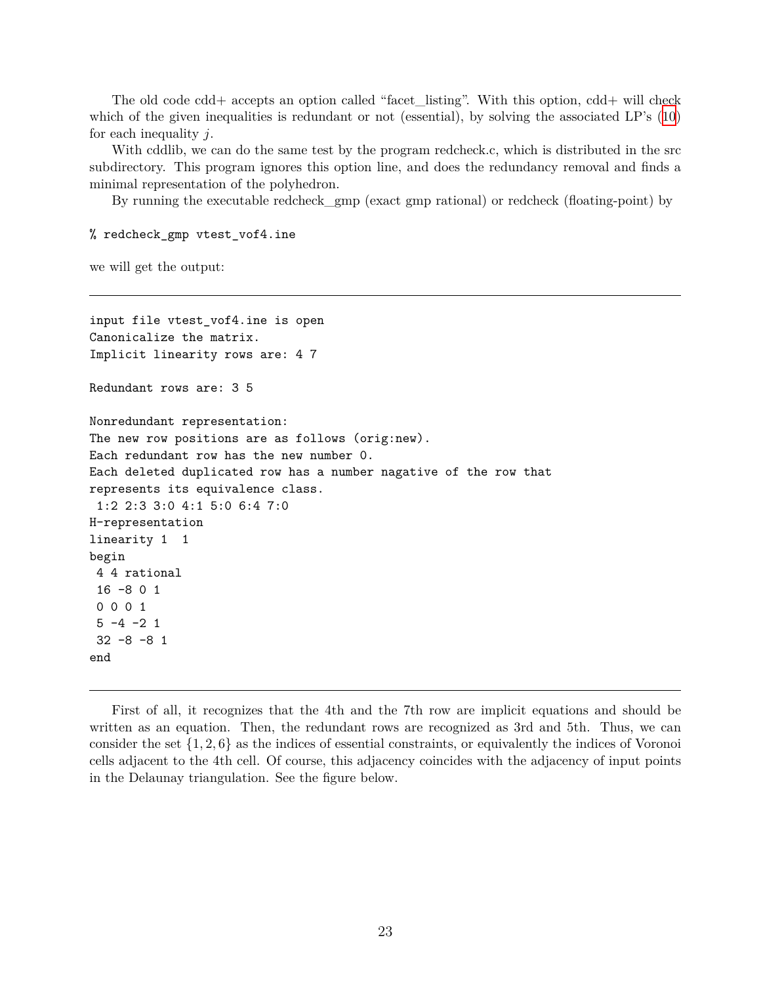The old code cdd+ accepts an option called "facet\_listing". With this option, cdd+ will check which of the given inequalities is redundant or not (essential), by solving the associated LP's [\(10\)](#page-21-1) for each inequality *j*.

With cddlib, we can do the same test by the program redcheck.c, which is distributed in the src subdirectory. This program ignores this option line, and does the redundancy removal and finds a minimal representation of the polyhedron.

By running the executable redcheck\_gmp (exact gmp rational) or redcheck (floating-point) by

% redcheck\_gmp vtest\_vof4.ine

we will get the output:

```
input file vtest_vof4.ine is open
Canonicalize the matrix.
Implicit linearity rows are: 4 7
Redundant rows are: 3 5
Nonredundant representation:
The new row positions are as follows (orig:new).
Each redundant row has the new number 0.
Each deleted duplicated row has a number nagative of the row that
represents its equivalence class.
 1:2 2:3 3:0 4:1 5:0 6:4 7:0
H-representation
linearity 1 1
begin
4 4 rational
 16 -8 0 1
 0 0 0 1
 5 -4 -2 132 -8 -8 1
end
```
First of all, it recognizes that the 4th and the 7th row are implicit equations and should be written as an equation. Then, the redundant rows are recognized as 3rd and 5th. Thus, we can consider the set *{*1*,* 2*,* 6*}* as the indices of essential constraints, or equivalently the indices of Voronoi cells adjacent to the 4th cell. Of course, this adjacency coincides with the adjacency of input points in the Delaunay triangulation. See the figure below.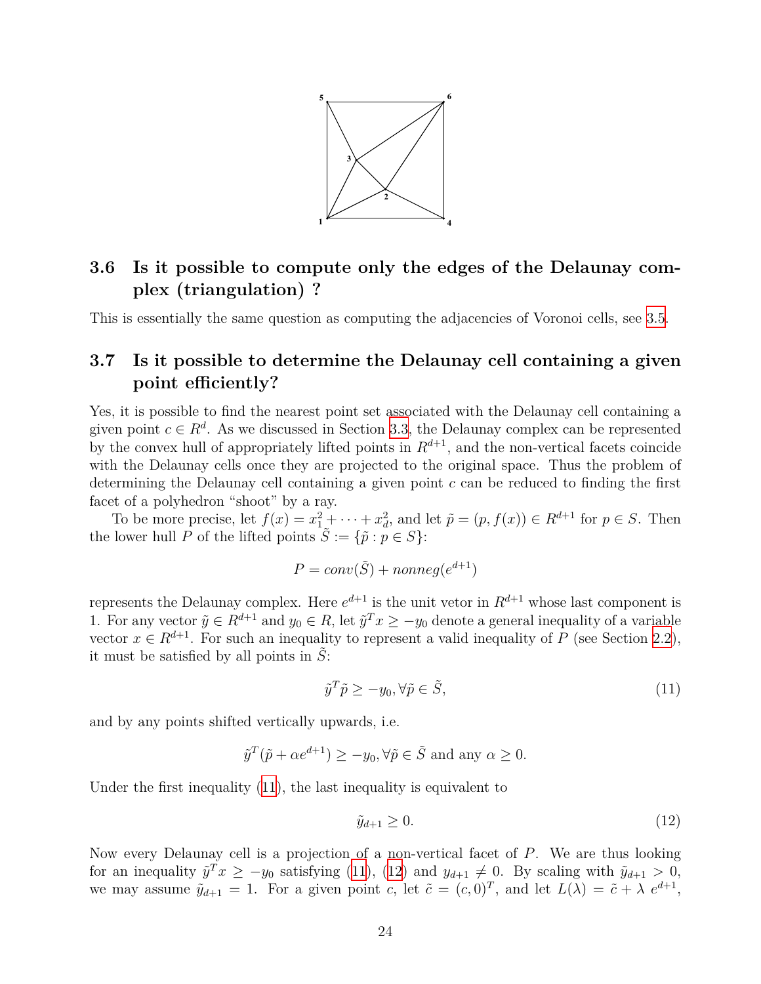

# <span id="page-23-0"></span>**3.6 Is it possible to compute only the edges of the Delaunay complex (triangulation) ?**

This is essentially the same question as computing the adjacencies of Voronoi cells, see [3.5](#page-20-0).

### <span id="page-23-1"></span>**3.7 Is it possible to determine the Delaunay cell containing a given point efficiently?**

Yes, it is possible to find the nearest point set associated with the Delaunay cell containing a given point  $c \in \mathbb{R}^d$ . As we discussed in Section [3.3,](#page-15-0) the Delaunay complex can be represented by the convex hull of appropriately lifted points in  $R^{d+1}$ , and the non-vertical facets coincide with the Delaunay cells once they are projected to the original space. Thus the problem of determining the Delaunay cell containing a given point *c* can be reduced to finding the first facet of a polyhedron "shoot" by a ray.

To be more precise, let  $f(x) = x_1^2 + \cdots + x_d^2$ , and let  $\tilde{p} = (p, f(x)) \in R^{d+1}$  for  $p \in S$ . Then the lower hull *P* of the lifted points  $\tilde{S} := {\tilde{p} : p \in S}$ :

$$
P = conv(\tilde{S}) + nonneg(e^{d+1})
$$

represents the Delaunay complex. Here  $e^{d+1}$  is the unit vetor in  $R^{d+1}$  whose last component is 1. For any vector  $\tilde{y} \in R^{d+1}$  and  $y_0 \in R$ , let  $\tilde{y}^T x \ge -y_0$  denote a general inequality of a variable vector  $x \in R^{d+1}$ . For such an inequality to represent a valid inequality of *P* (see Section [2.2](#page-2-2)), it must be satisfied by all points in  $\tilde{S}$ :

<span id="page-23-2"></span>
$$
\tilde{y}^T \tilde{p} \ge -y_0, \forall \tilde{p} \in \tilde{S},\tag{11}
$$

and by any points shifted vertically upwards, i.e.

$$
\tilde{y}^T(\tilde{p} + \alpha e^{d+1}) \ge -y_0, \forall \tilde{p} \in \tilde{S} \text{ and any } \alpha \ge 0.
$$

Under the first inequality ([11](#page-23-2)), the last inequality is equivalent to

<span id="page-23-3"></span>
$$
\tilde{y}_{d+1} \ge 0. \tag{12}
$$

Now every Delaunay cell is a projection of a non-vertical facet of *P*. We are thus looking for an inequality  $\tilde{y}^T x \geq -y_0$  satisfying [\(11\)](#page-23-2), [\(12\)](#page-23-3) and  $y_{d+1} \neq 0$ . By scaling with  $\tilde{y}_{d+1} > 0$ , we may assume  $\tilde{y}_{d+1} = 1$ . For a given point *c*, let  $\tilde{c} = (c, 0)^T$ , and let  $L(\lambda) = \tilde{c} + \lambda e^{d+1}$ ,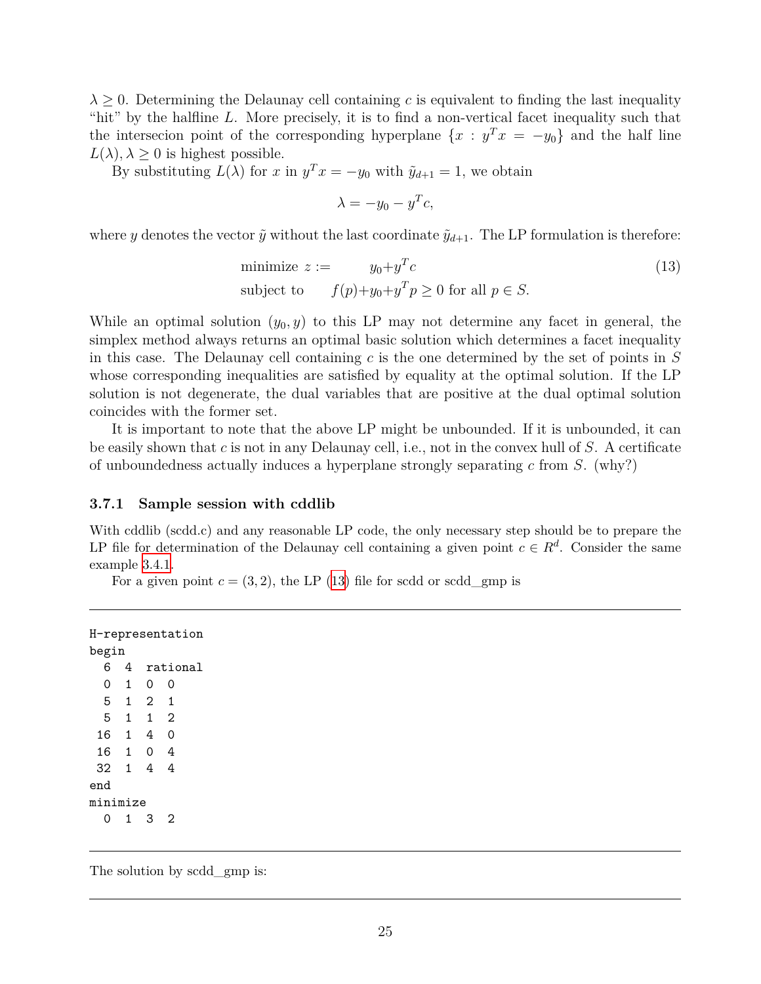$\lambda \geq 0$ . Determining the Delaunay cell containing *c* is equivalent to finding the last inequality "hit" by the halfline *L*. More precisely, it is to find a non-vertical facet inequality such that the intersecion point of the corresponding hyperplane  $\{x : y^T x = -y_0\}$  and the half line  $L(\lambda), \lambda \geq 0$  is highest possible.

By substituting  $L(\lambda)$  for *x* in  $y^T x = -y_0$  with  $\tilde{y}_{d+1} = 1$ , we obtain

<span id="page-24-1"></span>
$$
\lambda = -y_0 - y^T c,
$$

where *y* denotes the vector  $\tilde{y}$  without the last coordinate  $\tilde{y}_{d+1}$ . The LP formulation is therefore:

minimize 
$$
z := y_0 + y^T c
$$
  
subject to  $f(p)+y_0+y^T p \ge 0$  for all  $p \in S$ . (13)

While an optimal solution  $(y_0, y)$  to this LP may not determine any facet in general, the simplex method always returns an optimal basic solution which determines a facet inequality in this case. The Delaunay cell containing *c* is the one determined by the set of points in *S* whose corresponding inequalities are satisfied by equality at the optimal solution. If the LP solution is not degenerate, the dual variables that are positive at the dual optimal solution coincides with the former set.

It is important to note that the above LP might be unbounded. If it is unbounded, it can be easily shown that *c* is not in any Delaunay cell, i.e., not in the convex hull of *S*. A certificate of unboundedness actually induces a hyperplane strongly separating *c* from *S*. (why?)

#### <span id="page-24-0"></span>**3.7.1 Sample session with cddlib**

With cddlib (scdd.c) and any reasonable LP code, the only necessary step should be to prepare the LP file for determination of the Delaunay cell containing a given point  $c \in R^d$ . Consider the same example [3.4.1](#page-17-0).

For a given point  $c = (3, 2)$ , the LP  $(13)$  $(13)$  file for scdd or scdd\_gmp is

```
H-representation
begin
 6 4 rational
 0 1 0 0
 5 1 2 1
 5 1 1 2
16 1 4 0
16 1 0 4
32 1 4 4
end
minimize
 0 1 3 2
```
The solution by scdd gmp is: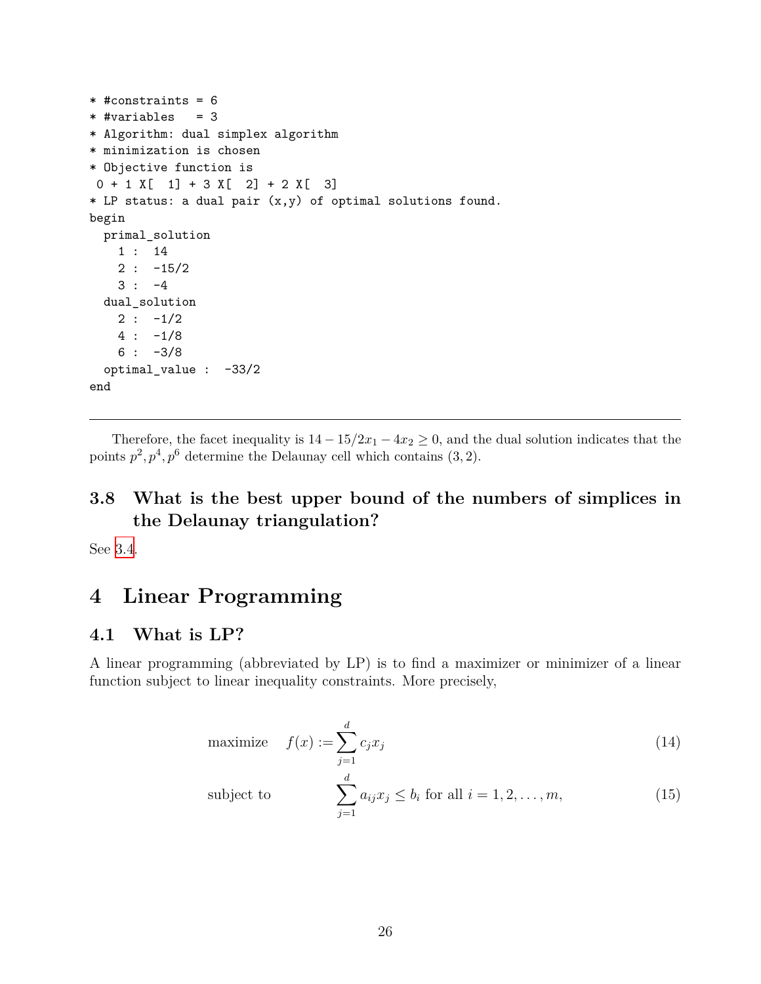```
* #constraints = 6
* #variables = 3
* Algorithm: dual simplex algorithm
* minimization is chosen
* Objective function is
0 + 1 X[ 1] + 3 X[ 2] + 2 X[ 3]* LP status: a dual pair (x,y) of optimal solutions found.
begin
 primal_solution
   1 : 14
   2 : -15/23 : -4dual_solution
   2 : -1/24 : -1/86 : -3/8optimal_value : -33/2
end
```
Therefore, the facet inequality is  $14 - 15/2x_1 - 4x_2 \ge 0$ , and the dual solution indicates that the points  $p^2, p^4, p^6$  determine the Delaunay cell which contains  $(3, 2)$ .

# <span id="page-25-0"></span>**3.8 What is the best upper bound of the numbers of simplices in the Delaunay triangulation?**

See [3.4.](#page-16-0)

# <span id="page-25-1"></span>**4 Linear Programming**

#### <span id="page-25-2"></span>**4.1 What is LP?**

A linear programming (abbreviated by LP) is to find a maximizer or minimizer of a linear function subject to linear inequality constraints. More precisely,

maximize 
$$
f(x) := \sum_{j=1}^{d} c_j x_j
$$
 (14)

subject to 
$$
\sum_{j=1}^{d} a_{ij} x_j \leq b_i \text{ for all } i = 1, 2, ..., m,
$$
 (15)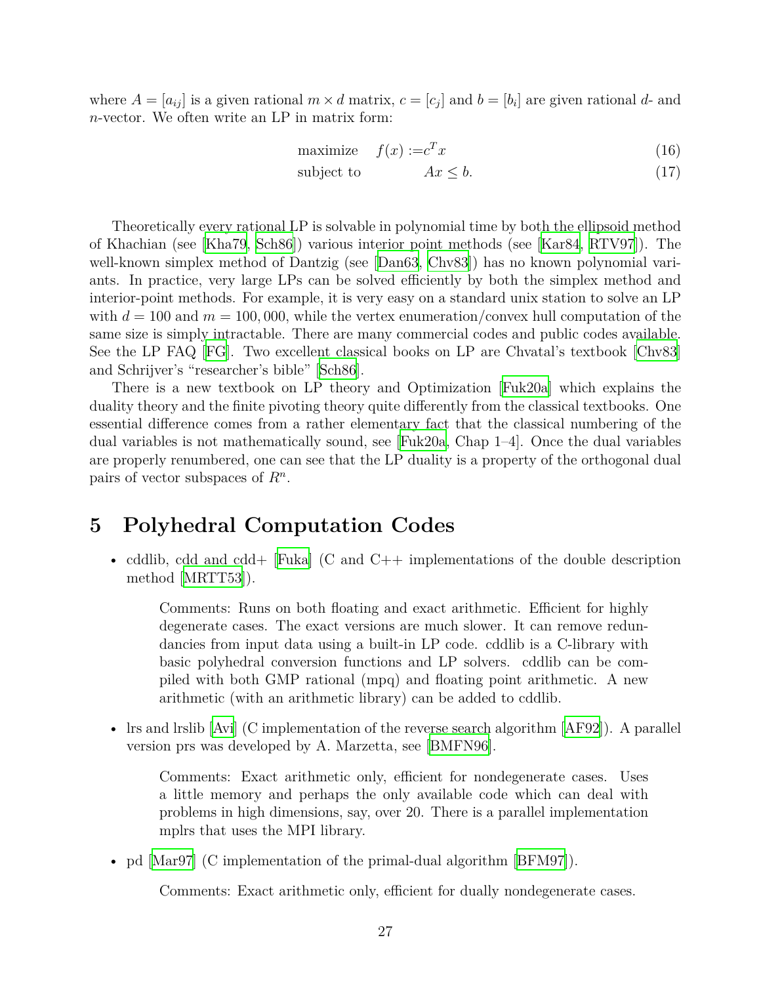where  $A = [a_{ij}]$  is a given rational  $m \times d$  matrix,  $c = [c_j]$  and  $b = [b_i]$  are given rational  $d$ - and *n*-vector. We often write an LP in matrix form:

$$
\text{maximize} \quad f(x) := c^T x \tag{16}
$$

$$
subject to \t\t Ax \leq b. \t\t(17)
$$

Theoretically every rational LP is solvable in polynomial time by both the ellipsoid method of Khachian (see [\[Kha79,](#page-30-9) [Sch86\]](#page-30-10)) various interior point methods (see [\[Kar84,](#page-30-11) [RTV97\]](#page-30-12)). The well-knownsimplex method of Dantzig (see [[Dan63,](#page-29-12) [Chv83\]](#page-28-9)) has no known polynomial variants. In practice, very large LPs can be solved efficiently by both the simplex method and interior-point methods. For example, it is very easy on a standard unix station to solve an LP with  $d = 100$  and  $m = 100,000$ , while the vertex enumeration/convex hull computation of the same size is simply intractable. There are many commercial codes and public codes available. See the LP FAQ [[FG](#page-29-13)]. Two excellent classical books on LP are Chvatal's textbook [\[Chv83\]](#page-28-9) and Schrijver's "researcher's bible" [\[Sch86\]](#page-30-10).

There is a new textbook on LP theory and Optimization [\[Fuk20a](#page-29-14)] which explains the duality theory and the finite pivoting theory quite differently from the classical textbooks. One essential difference comes from a rather elementary fact that the classical numbering of the dual variables is not mathematically sound, see [\[Fuk20a](#page-29-14), Chap 1–4]. Once the dual variables are properly renumbered, one can see that the LP duality is a property of the orthogonal dual pairs of vector subspaces of *R<sup>n</sup>* .

### <span id="page-26-0"></span>**5 Polyhedral Computation Codes**

• cddlib, cdd and cdd+ [\[Fuka](#page-29-0)] (C and C++ implementations of the double description method [[MRTT53\]](#page-30-13)).

Comments: Runs on both floating and exact arithmetic. Efficient for highly degenerate cases. The exact versions are much slower. It can remove redundancies from input data using a built-in LP code. cddlib is a C-library with basic polyhedral conversion functions and LP solvers. cddlib can be compiled with both GMP rational (mpq) and floating point arithmetic. A new arithmetic (with an arithmetic library) can be added to cddlib.

• Irs and Irslib [\[Avi](#page-28-0)] (C implementation of the reverse search algorithm [\[AF92\]](#page-28-3)). A parallel version prs was developed by A. Marzetta, see [\[BMFN96](#page-28-10)].

Comments: Exact arithmetic only, efficient for nondegenerate cases. Uses a little memory and perhaps the only available code which can deal with problems in high dimensions, say, over 20. There is a parallel implementation mplrs that uses the MPI library.

• pd [\[Mar97](#page-30-14)] (C implementation of the primal-dual algorithm [\[BFM97](#page-28-11)]).

Comments: Exact arithmetic only, efficient for dually nondegenerate cases.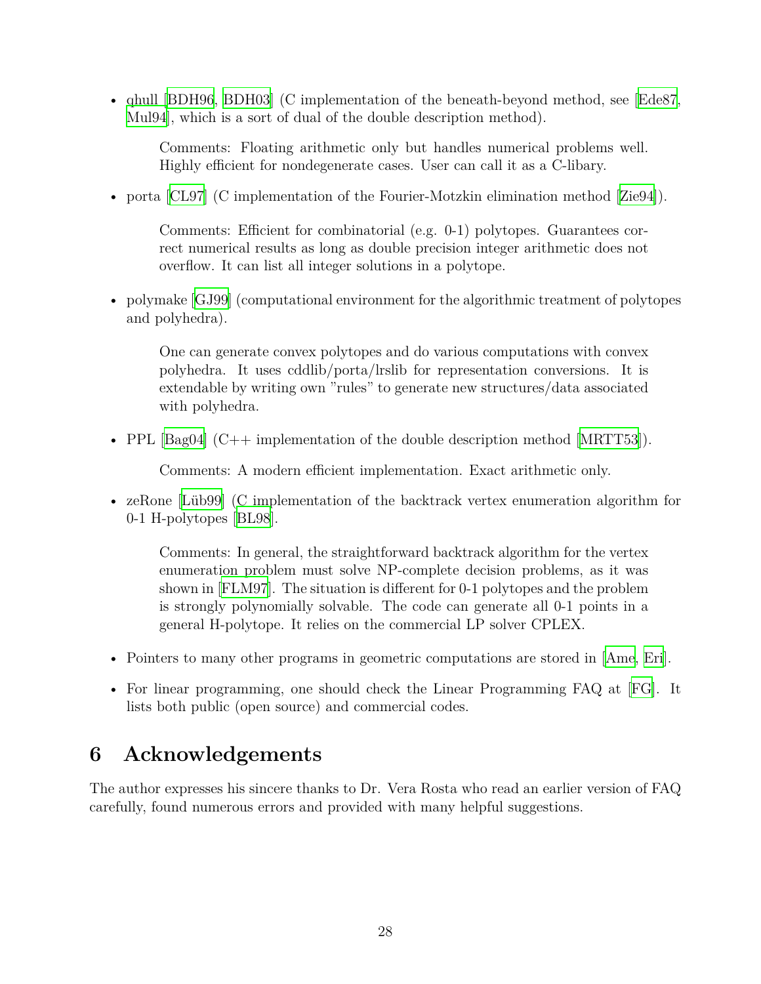• qhull [[BDH96](#page-28-12), [BDH03](#page-28-13)] (C implementation of the beneath-beyond method, see [[Ede87,](#page-29-15) [Mul94](#page-30-4)], which is a sort of dual of the double description method).

Comments: Floating arithmetic only but handles numerical problems well. Highly efficient for nondegenerate cases. User can call it as a C-libary.

• porta [[CL97](#page-29-16)](C implementation of the Fourier-Motzkin elimination method [[Zie94](#page-31-0)]).

Comments: Efficient for combinatorial (e.g. 0-1) polytopes. Guarantees correct numerical results as long as double precision integer arithmetic does not overflow. It can list all integer solutions in a polytope.

• polymake [[GJ99\]](#page-30-15) (computational environment for the algorithmic treatment of polytopes and polyhedra).

One can generate convex polytopes and do various computations with convex polyhedra. It uses cddlib/porta/lrslib for representation conversions. It is extendable by writing own "rules" to generate new structures/data associated with polyhedra.

• PPL  $\lceil \text{Bag04} \rceil$  (C++ implementation of the double description method  $\lceil \text{MRTT53} \rceil$ ).

Comments: A modern efficient implementation. Exact arithmetic only.

• zeRone [\[Lüb99](#page-30-16)] (C implementation of the backtrack vertex enumeration algorithm for 0-1 H-polytopes [\[BL98\]](#page-28-15).

Comments: In general, the straightforward backtrack algorithm for the vertex enumeration problem must solve NP-complete decision problems, as it was shown in [\[FLM97\]](#page-29-4). The situation is different for 0-1 polytopes and the problem is strongly polynomially solvable. The code can generate all 0-1 points in a general H-polytope. It relies on the commercial LP solver CPLEX.

- Pointers to many other programs in geometric computations are stored in [\[Ame](#page-28-16), [Eri\]](#page-29-17).
- For linear programming, one should check the Linear Programming FAQ at [\[FG\]](#page-29-13). It lists both public (open source) and commercial codes.

# <span id="page-27-0"></span>**6 Acknowledgements**

The author expresses his sincere thanks to Dr. Vera Rosta who read an earlier version of FAQ carefully, found numerous errors and provided with many helpful suggestions.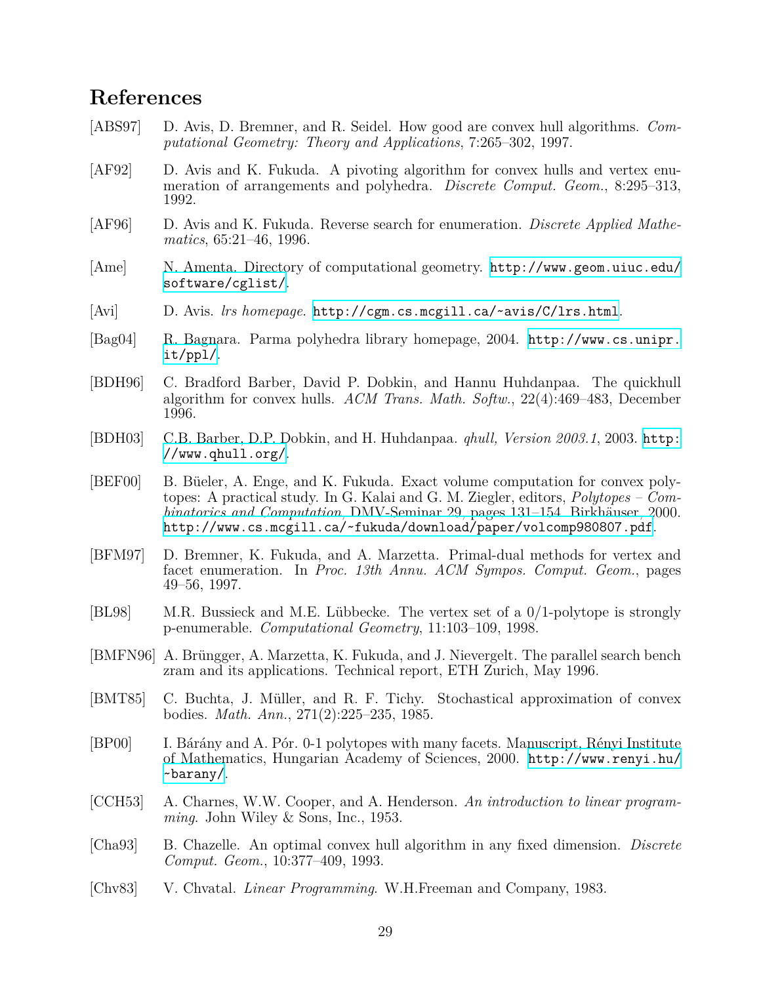# **References**

- <span id="page-28-5"></span>[ABS97] D. Avis, D. Bremner, and R. Seidel. How good are convex hull algorithms. *Computational Geometry: Theory and Applications*, 7:265–302, 1997.
- <span id="page-28-3"></span>[AF92] D. Avis and K. Fukuda. A pivoting algorithm for convex hulls and vertex enumeration of arrangements and polyhedra. *Discrete Comput. Geom.*, 8:295–313, 1992.
- <span id="page-28-4"></span>[AF96] D. Avis and K. Fukuda. Reverse search for enumeration. *Discrete Applied Mathematics*, 65:21–46, 1996.
- <span id="page-28-16"></span>[Ame] N. Amenta. Directory of computational geometry. [http://www.geom.uiuc.edu/](http://www.geom.uiuc.edu/software/cglist/) [software/cglist/](http://www.geom.uiuc.edu/software/cglist/).
- <span id="page-28-0"></span>[Avi] D. Avis. *lrs homepage*. <http://cgm.cs.mcgill.ca/~avis/C/lrs.html>.
- <span id="page-28-14"></span>[Bag04] R. Bagnara. Parma polyhedra library homepage, 2004. [http://www.cs.unipr.](http://www.cs.unipr.it/ppl/) [it/ppl/](http://www.cs.unipr.it/ppl/).
- <span id="page-28-12"></span>[BDH96] C. Bradford Barber, David P. Dobkin, and Hannu Huhdanpaa. The quickhull algorithm for convex hulls. *ACM Trans. Math. Softw.*, 22(4):469–483, December 1996.
- <span id="page-28-13"></span>[BDH03] C.B. Barber, D.P. Dobkin, and H. Huhdanpaa. *qhull, Version 2003.1*, 2003. [http:](http://www.qhull.org/) [//www.qhull.org/](http://www.qhull.org/).
- <span id="page-28-8"></span>[BEF00] B. Büeler, A. Enge, and K. Fukuda. Exact volume computation for convex polytopes: A practical study. In G. Kalai and G. M. Ziegler, editors, *Polytopes – Combinatorics and Computation*, DMV-Seminar 29, pages 131–154. Birkhäuser, 2000. <http://www.cs.mcgill.ca/~fukuda/download/paper/volcomp980807.pdf>.
- <span id="page-28-11"></span>[BFM97] D. Bremner, K. Fukuda, and A. Marzetta. Primal-dual methods for vertex and facet enumeration. In *Proc. 13th Annu. ACM Sympos. Comput. Geom.*, pages 49–56, 1997.
- <span id="page-28-15"></span>[BL98] M.R. Bussieck and M.E. Lübbecke. The vertex set of a 0*/*1-polytope is strongly p-enumerable. *Computational Geometry*, 11:103–109, 1998.
- <span id="page-28-10"></span>[BMFN96] A. Brüngger, A. Marzetta, K. Fukuda, and J. Nievergelt. The parallel search bench zram and its applications. Technical report, ETH Zurich, May 1996.
- <span id="page-28-6"></span>[BMT85] C. Buchta, J. Müller, and R. F. Tichy. Stochastical approximation of convex bodies. *Math. Ann.*, 271(2):225–235, 1985.
- <span id="page-28-7"></span>[BP00] I. Bárány and A. Pór. 0-1 polytopes with many facets. Manuscript, Rényi Institute of Mathematics, Hungarian Academy of Sciences, 2000. [http://www.renyi.hu/](http://www.renyi.hu/~barany/) [~barany/](http://www.renyi.hu/~barany/).
- <span id="page-28-2"></span>[CCH53] A. Charnes, W.W. Cooper, and A. Henderson. *An introduction to linear programming*. John Wiley & Sons, Inc., 1953.
- <span id="page-28-1"></span>[Cha93] B. Chazelle. An optimal convex hull algorithm in any fixed dimension. *Discrete Comput. Geom.*, 10:377–409, 1993.
- <span id="page-28-9"></span>[Chv83] V. Chvatal. *Linear Programming*. W.H.Freeman and Company, 1983.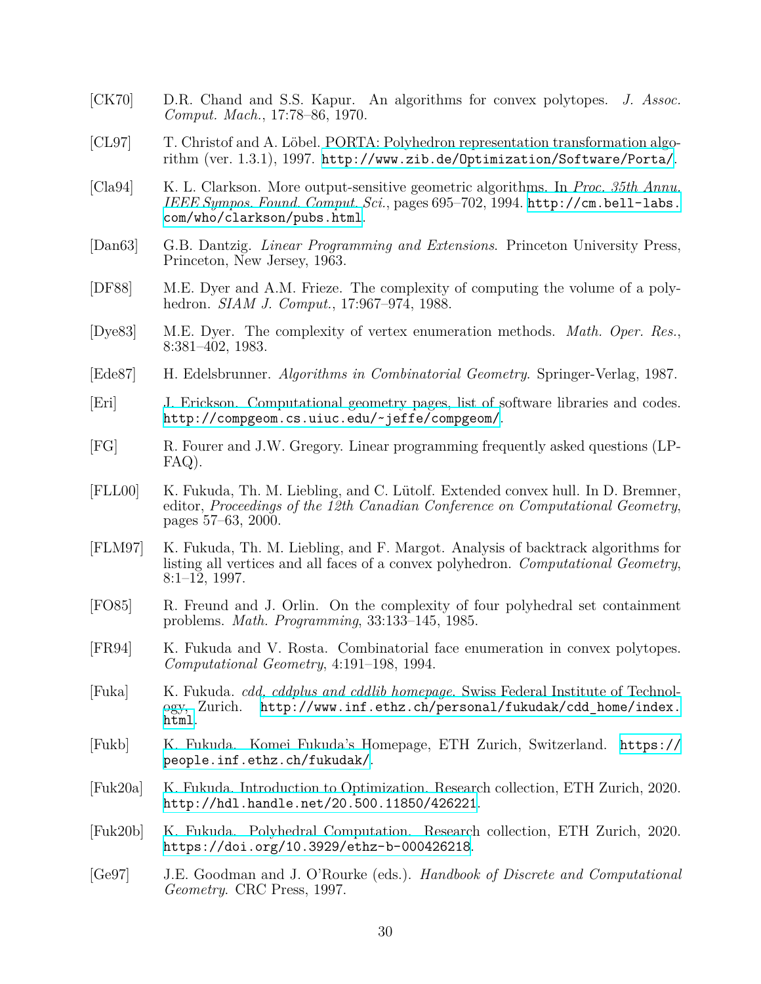- <span id="page-29-7"></span>[CK70] D.R. Chand and S.S. Kapur. An algorithms for convex polytopes. *J. Assoc. Comput. Mach.*, 17:78–86, 1970.
- <span id="page-29-16"></span>[CL97] T. Christof and A. Löbel. PORTA: Polyhedron representation transformation algorithm (ver. 1.3.1), 1997. <http://www.zib.de/Optimization/Software/Porta/>.
- <span id="page-29-9"></span>[Cla94] K. L. Clarkson. More output-sensitive geometric algorithms. In *Proc. 35th Annu. IEEE Sympos. Found. Comput. Sci.*, pages 695–702, 1994. [http://cm.bell-labs.](http://cm.bell-labs.com/who/clarkson/pubs.html) [com/who/clarkson/pubs.html](http://cm.bell-labs.com/who/clarkson/pubs.html).
- <span id="page-29-12"></span>[Dan63] G.B. Dantzig. *Linear Programming and Extensions*. Princeton University Press, Princeton, New Jersey, 1963.
- <span id="page-29-11"></span>[DF88] M.E. Dyer and A.M. Frieze. The complexity of computing the volume of a polyhedron. *SIAM J. Comput.*, 17:967–974, 1988.
- <span id="page-29-6"></span>[Dye83] M.E. Dyer. The complexity of vertex enumeration methods. *Math. Oper. Res.*, 8:381–402, 1983.
- <span id="page-29-15"></span>[Ede87] H. Edelsbrunner. *Algorithms in Combinatorial Geometry*. Springer-Verlag, 1987.
- <span id="page-29-17"></span>[Eri] J. Erickson. Computational geometry pages, list of software libraries and codes. <http://compgeom.cs.uiuc.edu/~jeffe/compgeom/>.
- <span id="page-29-13"></span>[FG] R. Fourer and J.W. Gregory. Linear programming frequently asked questions (LP-FAQ).
- <span id="page-29-10"></span>[FLL00] K. Fukuda, Th. M. Liebling, and C. Lütolf. Extended convex hull. In D. Bremner, editor, *Proceedings of the 12th Canadian Conference on Computational Geometry*, pages 57–63, 2000.
- <span id="page-29-4"></span>[FLM97] K. Fukuda, Th. M. Liebling, and F. Margot. Analysis of backtrack algorithms for listing all vertices and all faces of a convex polyhedron. *Computational Geometry*,  $8:1-12, 1997.$
- <span id="page-29-8"></span>[FO85] R. Freund and J. Orlin. On the complexity of four polyhedral set containment problems. *Math. Programming*, 33:133–145, 1985.
- <span id="page-29-5"></span>[FR94] K. Fukuda and V. Rosta. Combinatorial face enumeration in convex polytopes. *Computational Geometry*, 4:191–198, 1994.
- <span id="page-29-0"></span>[Fuka] K. Fukuda. *cdd, cddplus and cddlib homepage*. Swiss Federal Institute of Technology, Zurich. [http://www.inf.ethz.ch/personal/fukudak/cdd\\_home/index.](http://www.inf.ethz.ch/personal/fukudak/cdd_home/index.html) [html](http://www.inf.ethz.ch/personal/fukudak/cdd_home/index.html).
- <span id="page-29-2"></span>[Fukb] K. Fukuda. Komei Fukuda's Homepage, ETH Zurich, Switzerland. [https://](https://people.inf.ethz.ch/fukudak/) [people.inf.ethz.ch/fukudak/](https://people.inf.ethz.ch/fukudak/).
- <span id="page-29-14"></span>[Fuk20a] K. Fukuda. Introduction to Optimization. Research collection, ETH Zurich, 2020. <http://hdl.handle.net/20.500.11850/426221>.
- <span id="page-29-3"></span>[Fuk20b] K. Fukuda. Polyhedral Computation. Research collection, ETH Zurich, 2020. <https://doi.org/10.3929/ethz-b-000426218>.
- <span id="page-29-1"></span>[Ge97] J.E. Goodman and J. O'Rourke (eds.). *Handbook of Discrete and Computational Geometry*. CRC Press, 1997.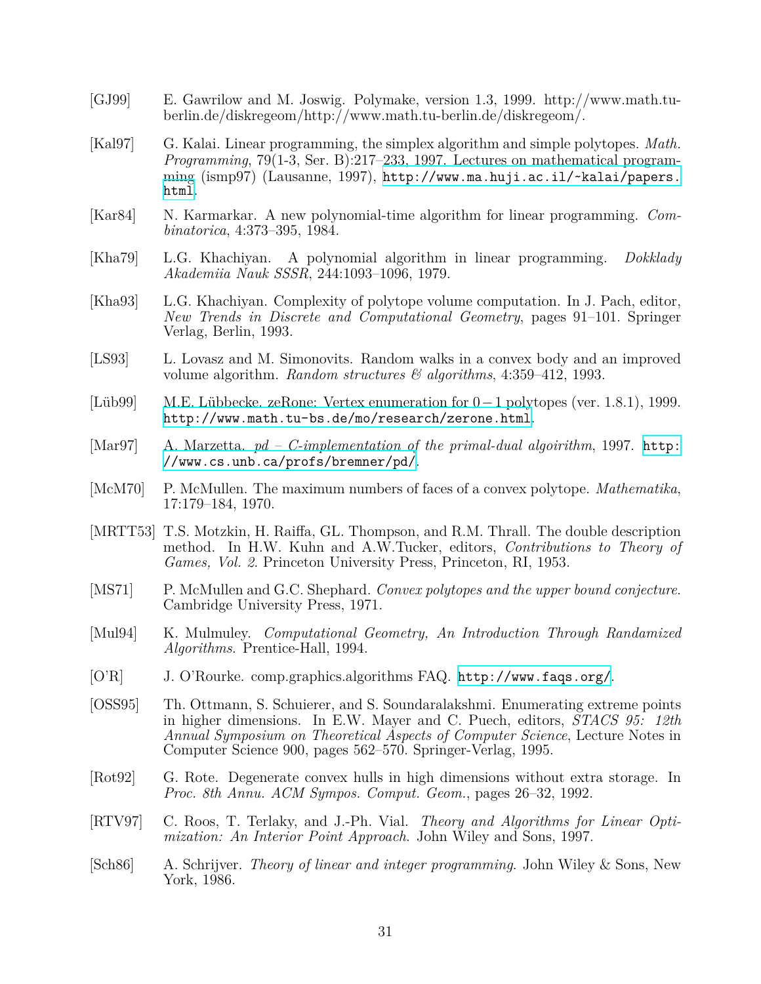- <span id="page-30-15"></span>[GJ99] E. Gawrilow and M. Joswig. Polymake, version 1.3, 1999. http://www.math.tuberlin.de/diskregeom/http://www.math.tu-berlin.de/diskregeom/.
- <span id="page-30-3"></span>[Kal97] G. Kalai. Linear programming, the simplex algorithm and simple polytopes. *Math. Programming*, 79(1-3, Ser. B):217–233, 1997. Lectures on mathematical programming (ismp97) (Lausanne, 1997), [http://www.ma.huji.ac.il/~kalai/papers.](http://www.ma.huji.ac.il/~kalai/papers.html) [html](http://www.ma.huji.ac.il/~kalai/papers.html).
- <span id="page-30-11"></span>[Kar84] N. Karmarkar. A new polynomial-time algorithm for linear programming. *Combinatorica*, 4:373–395, 1984.
- <span id="page-30-9"></span>[Kha79] L.G. Khachiyan. A polynomial algorithm in linear programming. *Dokklady Akademiia Nauk SSSR*, 244:1093–1096, 1979.
- <span id="page-30-7"></span>[Kha93] L.G. Khachiyan. Complexity of polytope volume computation. In J. Pach, editor, *New Trends in Discrete and Computational Geometry*, pages 91–101. Springer Verlag, Berlin, 1993.
- <span id="page-30-8"></span>[LS93] L. Lovasz and M. Simonovits. Random walks in a convex body and an improved volume algorithm. *Random structures & algorithms*, 4:359–412, 1993.
- <span id="page-30-16"></span>[Lüb99] M.E. Lübbecke. zeRone: Vertex enumeration for 0*−*1 polytopes (ver. 1.8.1), 1999. <http://www.math.tu-bs.de/mo/research/zerone.html>.
- <span id="page-30-14"></span>[Mar97] A. Marzetta. *pd – C-implementation of the primal-dual algoirithm*, 1997. [http:](http://www.cs.unb.ca/profs/bremner/pd/) [//www.cs.unb.ca/profs/bremner/pd/](http://www.cs.unb.ca/profs/bremner/pd/).
- <span id="page-30-1"></span>[McM70] P. McMullen. The maximum numbers of faces of a convex polytope. *Mathematika*, 17:179–184, 1970.
- <span id="page-30-13"></span>[MRTT53] T.S. Motzkin, H. Raiffa, GL. Thompson, and R.M. Thrall. The double description method. In H.W. Kuhn and A.W.Tucker, editors, *Contributions to Theory of Games, Vol. 2*. Princeton University Press, Princeton, RI, 1953.
- <span id="page-30-2"></span>[MS71] P. McMullen and G.C. Shephard. *Convex polytopes and the upper bound conjecture*. Cambridge University Press, 1971.
- <span id="page-30-4"></span>[Mul94] K. Mulmuley. *Computational Geometry, An Introduction Through Randamized Algorithms*. Prentice-Hall, 1994.
- <span id="page-30-0"></span>[O'R] J. O'Rourke. comp.graphics.algorithms FAQ. <http://www.faqs.org/>.
- <span id="page-30-6"></span>[OSS95] Th. Ottmann, S. Schuierer, and S. Soundaralakshmi. Enumerating extreme points in higher dimensions. In E.W. Mayer and C. Puech, editors, *STACS 95: 12th Annual Symposium on Theoretical Aspects of Computer Science*, Lecture Notes in Computer Science 900, pages 562–570. Springer-Verlag, 1995.
- <span id="page-30-5"></span>[Rot92] G. Rote. Degenerate convex hulls in high dimensions without extra storage. In *Proc. 8th Annu. ACM Sympos. Comput. Geom.*, pages 26–32, 1992.
- <span id="page-30-12"></span>[RTV97] C. Roos, T. Terlaky, and J.-Ph. Vial. *Theory and Algorithms for Linear Optimization: An Interior Point Approach*. John Wiley and Sons, 1997.
- <span id="page-30-10"></span>[Sch86] A. Schrijver. *Theory of linear and integer programming*. John Wiley & Sons, New York, 1986.